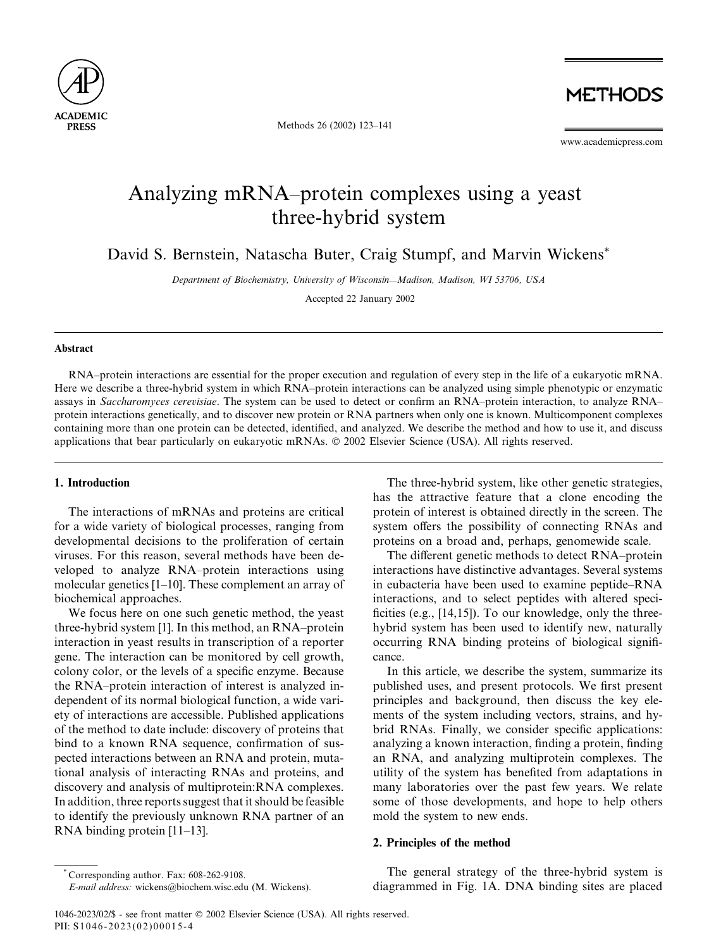

Methods 26 (2002) 123–141

METHODS

www.academicpress.com

# Analyzing mRNA–protein complexes using a yeast three-hybrid system

David S. Bernstein, Natascha Buter, Craig Stumpf, and Marvin Wickens\*

Department of Biochemistry, University of Wisconsin—Madison, Madison, WI 53706, USA

Accepted 22 January 2002

## Abstract

RNA–protein interactions are essential for the proper execution and regulation of every step in the life of a eukaryotic mRNA. Here we describe a three-hybrid system in which RNA–protein interactions can be analyzed using simple phenotypic or enzymatic assays in Saccharomyces cerevisiae. The system can be used to detect or confirm an RNA–protein interaction, to analyze RNA– protein interactions genetically, and to discover new protein or RNA partners when only one is known. Multicomponent complexes containing more than one protein can be detected, identified, and analyzed. We describe the method and how to use it, and discuss applications that bear particularly on eukaryotic mRNAs.  $\heartsuit$  2002 Elsevier Science (USA). All rights reserved.

## 1. Introduction

The interactions of mRNAs and proteins are critical for a wide variety of biological processes, ranging from developmental decisions to the proliferation of certain viruses. For this reason, several methods have been developed to analyze RNA–protein interactions using molecular genetics [1–10]. These complement an array of biochemical approaches.

We focus here on one such genetic method, the yeast three-hybrid system [1]. In this method, an RNA–protein interaction in yeast results in transcription of a reporter gene. The interaction can be monitored by cell growth, colony color, or the levels of a specific enzyme. Because the RNA–protein interaction of interest is analyzed independent of its normal biological function, a wide variety of interactions are accessible. Published applications of the method to date include: discovery of proteins that bind to a known RNA sequence, confirmation of suspected interactions between an RNA and protein, mutational analysis of interacting RNAs and proteins, and discovery and analysis of multiprotein:RNA complexes. In addition, three reports suggest that it should be feasible to identify the previously unknown RNA partner of an RNA binding protein [11–13].

The three-hybrid system, like other genetic strategies, has the attractive feature that a clone encoding the protein of interest is obtained directly in the screen. The system offers the possibility of connecting RNAs and proteins on a broad and, perhaps, genomewide scale.

The different genetic methods to detect RNA–protein interactions have distinctive advantages. Several systems in eubacteria have been used to examine peptide–RNA interactions, and to select peptides with altered specificities (e.g., [14,15]). To our knowledge, only the threehybrid system has been used to identify new, naturally occurring RNA binding proteins of biological significance.

In this article, we describe the system, summarize its published uses, and present protocols. We first present principles and background, then discuss the key elements of the system including vectors, strains, and hybrid RNAs. Finally, we consider specific applications: analyzing a known interaction, finding a protein, finding an RNA, and analyzing multiprotein complexes. The utility of the system has benefited from adaptations in many laboratories over the past few years. We relate some of those developments, and hope to help others mold the system to new ends.

# 2. Principles of the method

The general strategy of the three-hybrid system is diagrammed in Fig. 1A. DNA binding sites are placed

Corresponding author. Fax: 608-262-9108.

E-mail address: wickens@biochem.wisc.edu (M. Wickens).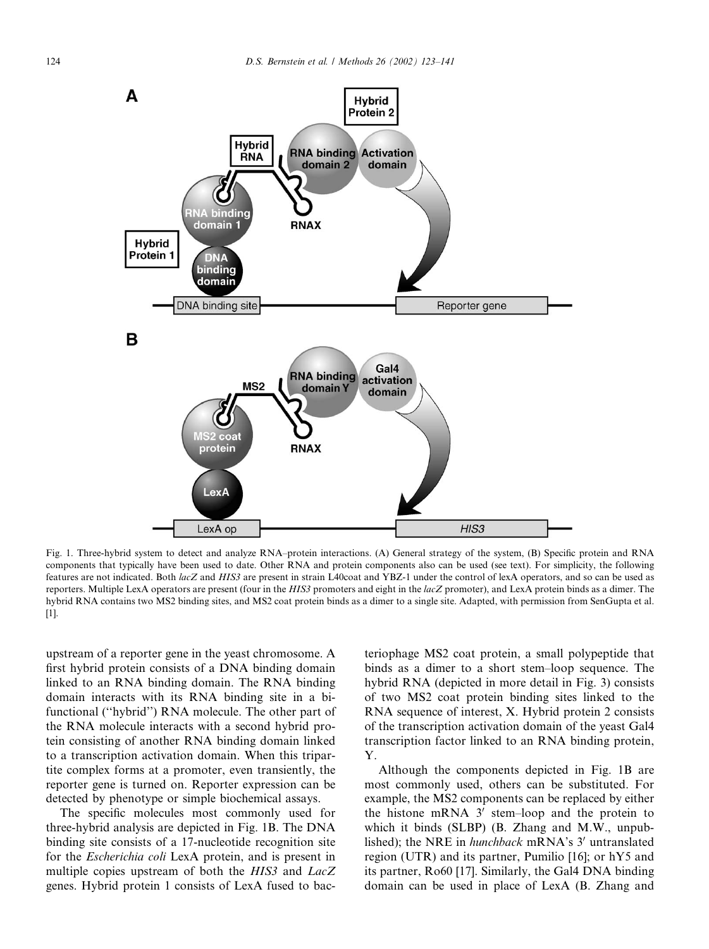

Fig. 1. Three-hybrid system to detect and analyze RNA–protein interactions. (A) General strategy of the system, (B) Specific protein and RNA components that typically have been used to date. Other RNA and protein components also can be used (see text). For simplicity, the following features are not indicated. Both lacZ and HIS3 are present in strain L40coat and YBZ-1 under the control of lexA operators, and so can be used as reporters. Multiple LexA operators are present (four in the HIS3 promoters and eight in the lacZ promoter), and LexA protein binds as a dimer. The hybrid RNA contains two MS2 binding sites, and MS2 coat protein binds as a dimer to a single site. Adapted, with permission from SenGupta et al. [1].

upstream of a reporter gene in the yeast chromosome. A first hybrid protein consists of a DNA binding domain linked to an RNA binding domain. The RNA binding domain interacts with its RNA binding site in a bifunctional (''hybrid'') RNA molecule. The other part of the RNA molecule interacts with a second hybrid protein consisting of another RNA binding domain linked to a transcription activation domain. When this tripartite complex forms at a promoter, even transiently, the reporter gene is turned on. Reporter expression can be detected by phenotype or simple biochemical assays.

The specific molecules most commonly used for three-hybrid analysis are depicted in Fig. 1B. The DNA binding site consists of a 17-nucleotide recognition site for the Escherichia coli LexA protein, and is present in multiple copies upstream of both the HIS3 and LacZ genes. Hybrid protein 1 consists of LexA fused to bacteriophage MS2 coat protein, a small polypeptide that binds as a dimer to a short stem–loop sequence. The hybrid RNA (depicted in more detail in Fig. 3) consists of two MS2 coat protein binding sites linked to the RNA sequence of interest, X. Hybrid protein 2 consists of the transcription activation domain of the yeast Gal4 transcription factor linked to an RNA binding protein, Y.

Although the components depicted in Fig. 1B are most commonly used, others can be substituted. For example, the MS2 components can be replaced by either the histone mRNA  $3'$  stem–loop and the protein to which it binds (SLBP) (B. Zhang and M.W., unpublished); the NRE in *hunchback* mRNA's  $3'$  untranslated region (UTR) and its partner, Pumilio [16]; or hY5 and its partner, Ro60 [17]. Similarly, the Gal4 DNA binding domain can be used in place of LexA (B. Zhang and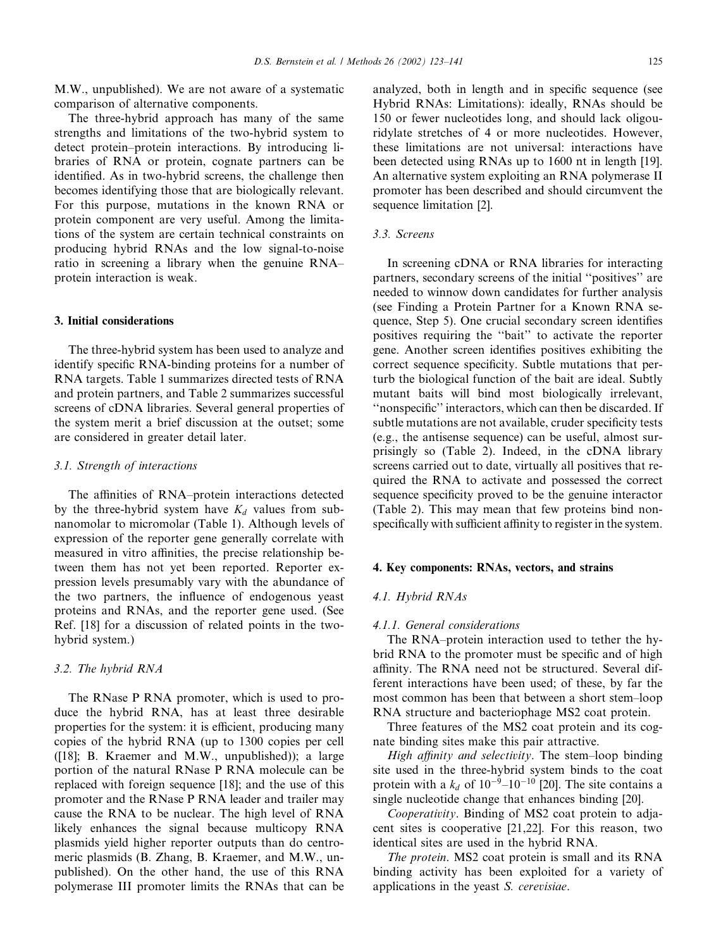M.W., unpublished). We are not aware of a systematic comparison of alternative components.

The three-hybrid approach has many of the same strengths and limitations of the two-hybrid system to detect protein–protein interactions. By introducing libraries of RNA or protein, cognate partners can be identified. As in two-hybrid screens, the challenge then becomes identifying those that are biologically relevant. For this purpose, mutations in the known RNA or protein component are very useful. Among the limitations of the system are certain technical constraints on producing hybrid RNAs and the low signal-to-noise ratio in screening a library when the genuine RNA– protein interaction is weak.

# 3. Initial considerations

The three-hybrid system has been used to analyze and identify specific RNA-binding proteins for a number of RNA targets. Table 1 summarizes directed tests of RNA and protein partners, and Table 2 summarizes successful screens of cDNA libraries. Several general properties of the system merit a brief discussion at the outset; some are considered in greater detail later.

## 3.1. Strength of interactions

The affinities of RNA–protein interactions detected by the three-hybrid system have  $K_d$  values from subnanomolar to micromolar (Table 1). Although levels of expression of the reporter gene generally correlate with measured in vitro affinities, the precise relationship between them has not yet been reported. Reporter expression levels presumably vary with the abundance of the two partners, the influence of endogenous yeast proteins and RNAs, and the reporter gene used. (See Ref. [18] for a discussion of related points in the twohybrid system.)

# 3.2. The hybrid RNA

The RNase P RNA promoter, which is used to produce the hybrid RNA, has at least three desirable properties for the system: it is efficient, producing many copies of the hybrid RNA (up to 1300 copies per cell ([18]; B. Kraemer and M.W., unpublished)); a large portion of the natural RNase P RNA molecule can be replaced with foreign sequence [18]; and the use of this promoter and the RNase P RNA leader and trailer may cause the RNA to be nuclear. The high level of RNA likely enhances the signal because multicopy RNA plasmids yield higher reporter outputs than do centromeric plasmids (B. Zhang, B. Kraemer, and M.W., unpublished). On the other hand, the use of this RNA polymerase III promoter limits the RNAs that can be

analyzed, both in length and in specific sequence (see Hybrid RNAs: Limitations): ideally, RNAs should be 150 or fewer nucleotides long, and should lack oligouridylate stretches of 4 or more nucleotides. However, these limitations are not universal: interactions have been detected using RNAs up to 1600 nt in length [19]. An alternative system exploiting an RNA polymerase II promoter has been described and should circumvent the sequence limitation [2].

# 3.3. Screens

In screening cDNA or RNA libraries for interacting partners, secondary screens of the initial ''positives'' are needed to winnow down candidates for further analysis (see Finding a Protein Partner for a Known RNA sequence, Step 5). One crucial secondary screen identifies positives requiring the ''bait'' to activate the reporter gene. Another screen identifies positives exhibiting the correct sequence specificity. Subtle mutations that perturb the biological function of the bait are ideal. Subtly mutant baits will bind most biologically irrelevant, ''nonspecific'' interactors, which can then be discarded. If subtle mutations are not available, cruder specificity tests (e.g., the antisense sequence) can be useful, almost surprisingly so (Table 2). Indeed, in the cDNA library screens carried out to date, virtually all positives that required the RNA to activate and possessed the correct sequence specificity proved to be the genuine interactor (Table 2). This may mean that few proteins bind nonspecifically with sufficient affinity to register in the system.

#### 4. Key components: RNAs, vectors, and strains

# 4.1. Hybrid RNAs

#### 4.1.1. General considerations

The RNA–protein interaction used to tether the hybrid RNA to the promoter must be specific and of high affinity. The RNA need not be structured. Several different interactions have been used; of these, by far the most common has been that between a short stem–loop RNA structure and bacteriophage MS2 coat protein.

Three features of the MS2 coat protein and its cognate binding sites make this pair attractive.

High affinity and selectivity. The stem–loop binding site used in the three-hybrid system binds to the coat protein with a  $k_d$  of  $10^{-9}$ – $10^{-10}$  [20]. The site contains a single nucleotide change that enhances binding [20].

Cooperativity. Binding of MS2 coat protein to adjacent sites is cooperative [21,22]. For this reason, two identical sites are used in the hybrid RNA.

The protein. MS2 coat protein is small and its RNA binding activity has been exploited for a variety of applications in the yeast S. cerevisiae.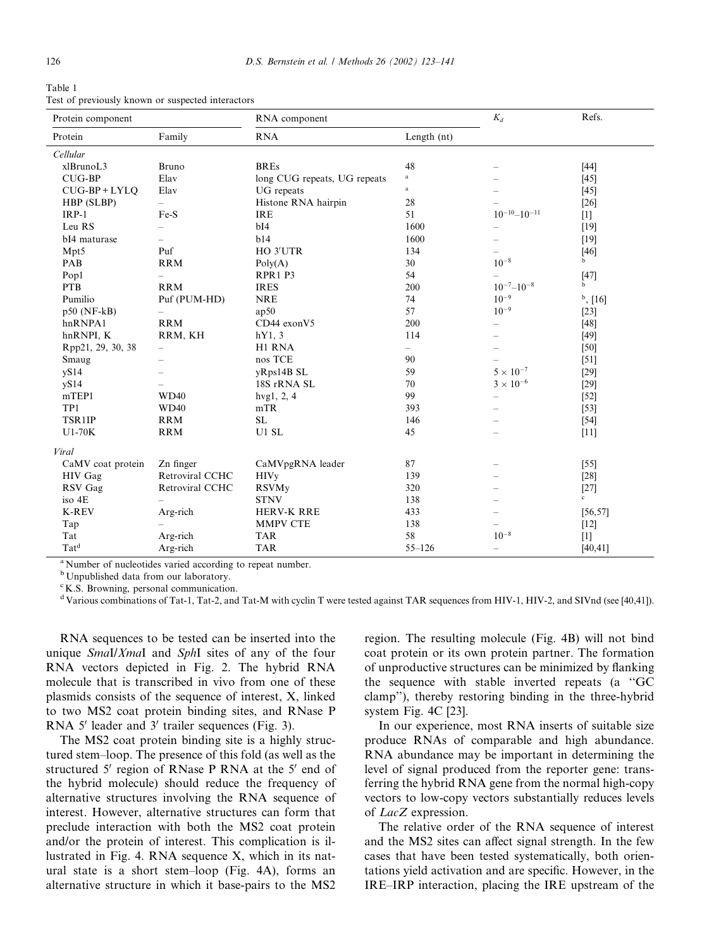| Table 1                                           |  |
|---------------------------------------------------|--|
| Test of previously known or suspected interactors |  |

| Protein<br><b>RNA</b><br>Length (nt)<br>Family<br>Cellular<br><b>BREs</b><br>48<br>xlBrunoL3<br><b>Bruno</b><br>$[44]$<br><b>CUG-BP</b><br>$\rm{a}$<br>Elav<br>long CUG repeats, UG repeats<br>$[45]$<br>$\rm{a}$<br>$CUG-BP+LYLO$<br>Elav<br>UG repeats<br>[45]<br>Histone RNA hairpin<br>28<br>HBP (SLBP)<br>$[26]$<br>$\overline{\phantom{0}}$<br>$10^{-10} - 10^{-11}$<br>51<br>$IRP-1$<br>Fe-S<br><b>IRE</b><br>$[1]$<br>Leu RS<br>bI4<br>1600<br>$[19]$<br>b14<br>1600<br>bI4 maturase<br>$[19]$<br>$\overline{\phantom{0}}$<br>HO 3'UTR<br>Mpt5<br>Puf<br>134<br>$[46]$<br>$\overline{\phantom{0}}$<br>$10^{-8}$<br>b<br>30<br><b>RRM</b><br>PAB<br>Poly(A)<br>54<br>RPR1 P3<br>$[47]$<br>Popl<br>$\overline{\phantom{0}}$<br>$10^{-7} - 10^{-8}$<br>b<br><b>PTB</b><br><b>RRM</b><br><b>IRES</b><br>200<br>$10^{-9}$<br>$^{b}$ , [16]<br>Pumilio<br>Puf (PUM-HD)<br><b>NRE</b><br>74<br>$10^{-9}$<br>57<br>$p50$ (NF- $kB$ )<br>ap50<br>$[23]$<br>$\overline{\phantom{0}}$<br><b>RRM</b><br>CD44 exonV5<br>200<br>hnRNPA1<br>$[48]$<br>hnRNPI, K<br>RRM, KH<br>hY1, 3<br>114<br>$[49]$<br>Rpp21, 29, 30, 38<br>H1 RNA<br>$[50]$<br>$\overline{\phantom{0}}$<br>nos TCE<br>90<br>Smaug<br>$[51]$<br>$5 \times 10^{-7}$<br>yRps14B SL<br>59<br>yS14<br>$[29]$<br>$3 \times 10^{-6}$<br>70<br>yS14<br>18S rRNA SL<br>$[29]$<br>$\overline{\phantom{0}}$<br>99<br>mTEP1<br><b>WD40</b><br>hvg $1, 2, 4$<br>$[52]$<br>$\overline{\phantom{0}}$<br>TP1<br><b>WD40</b><br>393<br>mTR<br>$[53]$<br><b>TSR1IP</b><br>SL<br><b>RRM</b><br>146<br>$[54]$<br>45<br>U1-70K<br><b>RRM</b><br>U1 SL<br>[11]<br>Viral<br>87<br>Zn finger<br>CaMV coat protein<br>CaMVpgRNA leader<br>$[55]$<br>Retroviral CCHC<br><b>HIV</b> Gag<br><b>HIVy</b><br>139<br>$[28]$<br><b>RSV</b> Gag<br><b>RSVMy</b><br>Retroviral CCHC<br>320<br>$[27]$<br>$\mathbf{c}$<br>iso 4E<br><b>STNV</b><br>138<br><b>K-REV</b><br><b>HERV-K RRE</b><br>433<br>Arg-rich<br>[56, 57]<br><b>MMPV CTE</b><br>138<br>$[12]$<br>Tap<br>58<br>$10^{-8}$<br><b>TAR</b><br>$[1]$<br>Tat<br>Arg-rich<br>Tat <sup>d</sup><br><b>TAR</b><br>$55 - 126$<br>Arg-rich<br>[40, 41]<br>$\overline{\phantom{0}}$ | Protein component<br>RNA component |  | $K_d$ | Refs. |  |
|----------------------------------------------------------------------------------------------------------------------------------------------------------------------------------------------------------------------------------------------------------------------------------------------------------------------------------------------------------------------------------------------------------------------------------------------------------------------------------------------------------------------------------------------------------------------------------------------------------------------------------------------------------------------------------------------------------------------------------------------------------------------------------------------------------------------------------------------------------------------------------------------------------------------------------------------------------------------------------------------------------------------------------------------------------------------------------------------------------------------------------------------------------------------------------------------------------------------------------------------------------------------------------------------------------------------------------------------------------------------------------------------------------------------------------------------------------------------------------------------------------------------------------------------------------------------------------------------------------------------------------------------------------------------------------------------------------------------------------------------------------------------------------------------------------------------------------------------------------------------------------------------------------------------------------------------------------------------------------------------------------------------------------------------------------------------------------------------------------------------------------------------------------------|------------------------------------|--|-------|-------|--|
|                                                                                                                                                                                                                                                                                                                                                                                                                                                                                                                                                                                                                                                                                                                                                                                                                                                                                                                                                                                                                                                                                                                                                                                                                                                                                                                                                                                                                                                                                                                                                                                                                                                                                                                                                                                                                                                                                                                                                                                                                                                                                                                                                                |                                    |  |       |       |  |
|                                                                                                                                                                                                                                                                                                                                                                                                                                                                                                                                                                                                                                                                                                                                                                                                                                                                                                                                                                                                                                                                                                                                                                                                                                                                                                                                                                                                                                                                                                                                                                                                                                                                                                                                                                                                                                                                                                                                                                                                                                                                                                                                                                |                                    |  |       |       |  |
|                                                                                                                                                                                                                                                                                                                                                                                                                                                                                                                                                                                                                                                                                                                                                                                                                                                                                                                                                                                                                                                                                                                                                                                                                                                                                                                                                                                                                                                                                                                                                                                                                                                                                                                                                                                                                                                                                                                                                                                                                                                                                                                                                                |                                    |  |       |       |  |
|                                                                                                                                                                                                                                                                                                                                                                                                                                                                                                                                                                                                                                                                                                                                                                                                                                                                                                                                                                                                                                                                                                                                                                                                                                                                                                                                                                                                                                                                                                                                                                                                                                                                                                                                                                                                                                                                                                                                                                                                                                                                                                                                                                |                                    |  |       |       |  |
|                                                                                                                                                                                                                                                                                                                                                                                                                                                                                                                                                                                                                                                                                                                                                                                                                                                                                                                                                                                                                                                                                                                                                                                                                                                                                                                                                                                                                                                                                                                                                                                                                                                                                                                                                                                                                                                                                                                                                                                                                                                                                                                                                                |                                    |  |       |       |  |
|                                                                                                                                                                                                                                                                                                                                                                                                                                                                                                                                                                                                                                                                                                                                                                                                                                                                                                                                                                                                                                                                                                                                                                                                                                                                                                                                                                                                                                                                                                                                                                                                                                                                                                                                                                                                                                                                                                                                                                                                                                                                                                                                                                |                                    |  |       |       |  |
|                                                                                                                                                                                                                                                                                                                                                                                                                                                                                                                                                                                                                                                                                                                                                                                                                                                                                                                                                                                                                                                                                                                                                                                                                                                                                                                                                                                                                                                                                                                                                                                                                                                                                                                                                                                                                                                                                                                                                                                                                                                                                                                                                                |                                    |  |       |       |  |
|                                                                                                                                                                                                                                                                                                                                                                                                                                                                                                                                                                                                                                                                                                                                                                                                                                                                                                                                                                                                                                                                                                                                                                                                                                                                                                                                                                                                                                                                                                                                                                                                                                                                                                                                                                                                                                                                                                                                                                                                                                                                                                                                                                |                                    |  |       |       |  |
|                                                                                                                                                                                                                                                                                                                                                                                                                                                                                                                                                                                                                                                                                                                                                                                                                                                                                                                                                                                                                                                                                                                                                                                                                                                                                                                                                                                                                                                                                                                                                                                                                                                                                                                                                                                                                                                                                                                                                                                                                                                                                                                                                                |                                    |  |       |       |  |
|                                                                                                                                                                                                                                                                                                                                                                                                                                                                                                                                                                                                                                                                                                                                                                                                                                                                                                                                                                                                                                                                                                                                                                                                                                                                                                                                                                                                                                                                                                                                                                                                                                                                                                                                                                                                                                                                                                                                                                                                                                                                                                                                                                |                                    |  |       |       |  |
|                                                                                                                                                                                                                                                                                                                                                                                                                                                                                                                                                                                                                                                                                                                                                                                                                                                                                                                                                                                                                                                                                                                                                                                                                                                                                                                                                                                                                                                                                                                                                                                                                                                                                                                                                                                                                                                                                                                                                                                                                                                                                                                                                                |                                    |  |       |       |  |
|                                                                                                                                                                                                                                                                                                                                                                                                                                                                                                                                                                                                                                                                                                                                                                                                                                                                                                                                                                                                                                                                                                                                                                                                                                                                                                                                                                                                                                                                                                                                                                                                                                                                                                                                                                                                                                                                                                                                                                                                                                                                                                                                                                |                                    |  |       |       |  |
|                                                                                                                                                                                                                                                                                                                                                                                                                                                                                                                                                                                                                                                                                                                                                                                                                                                                                                                                                                                                                                                                                                                                                                                                                                                                                                                                                                                                                                                                                                                                                                                                                                                                                                                                                                                                                                                                                                                                                                                                                                                                                                                                                                |                                    |  |       |       |  |
|                                                                                                                                                                                                                                                                                                                                                                                                                                                                                                                                                                                                                                                                                                                                                                                                                                                                                                                                                                                                                                                                                                                                                                                                                                                                                                                                                                                                                                                                                                                                                                                                                                                                                                                                                                                                                                                                                                                                                                                                                                                                                                                                                                |                                    |  |       |       |  |
|                                                                                                                                                                                                                                                                                                                                                                                                                                                                                                                                                                                                                                                                                                                                                                                                                                                                                                                                                                                                                                                                                                                                                                                                                                                                                                                                                                                                                                                                                                                                                                                                                                                                                                                                                                                                                                                                                                                                                                                                                                                                                                                                                                |                                    |  |       |       |  |
|                                                                                                                                                                                                                                                                                                                                                                                                                                                                                                                                                                                                                                                                                                                                                                                                                                                                                                                                                                                                                                                                                                                                                                                                                                                                                                                                                                                                                                                                                                                                                                                                                                                                                                                                                                                                                                                                                                                                                                                                                                                                                                                                                                |                                    |  |       |       |  |
|                                                                                                                                                                                                                                                                                                                                                                                                                                                                                                                                                                                                                                                                                                                                                                                                                                                                                                                                                                                                                                                                                                                                                                                                                                                                                                                                                                                                                                                                                                                                                                                                                                                                                                                                                                                                                                                                                                                                                                                                                                                                                                                                                                |                                    |  |       |       |  |
|                                                                                                                                                                                                                                                                                                                                                                                                                                                                                                                                                                                                                                                                                                                                                                                                                                                                                                                                                                                                                                                                                                                                                                                                                                                                                                                                                                                                                                                                                                                                                                                                                                                                                                                                                                                                                                                                                                                                                                                                                                                                                                                                                                |                                    |  |       |       |  |
|                                                                                                                                                                                                                                                                                                                                                                                                                                                                                                                                                                                                                                                                                                                                                                                                                                                                                                                                                                                                                                                                                                                                                                                                                                                                                                                                                                                                                                                                                                                                                                                                                                                                                                                                                                                                                                                                                                                                                                                                                                                                                                                                                                |                                    |  |       |       |  |
|                                                                                                                                                                                                                                                                                                                                                                                                                                                                                                                                                                                                                                                                                                                                                                                                                                                                                                                                                                                                                                                                                                                                                                                                                                                                                                                                                                                                                                                                                                                                                                                                                                                                                                                                                                                                                                                                                                                                                                                                                                                                                                                                                                |                                    |  |       |       |  |
|                                                                                                                                                                                                                                                                                                                                                                                                                                                                                                                                                                                                                                                                                                                                                                                                                                                                                                                                                                                                                                                                                                                                                                                                                                                                                                                                                                                                                                                                                                                                                                                                                                                                                                                                                                                                                                                                                                                                                                                                                                                                                                                                                                |                                    |  |       |       |  |
|                                                                                                                                                                                                                                                                                                                                                                                                                                                                                                                                                                                                                                                                                                                                                                                                                                                                                                                                                                                                                                                                                                                                                                                                                                                                                                                                                                                                                                                                                                                                                                                                                                                                                                                                                                                                                                                                                                                                                                                                                                                                                                                                                                |                                    |  |       |       |  |
|                                                                                                                                                                                                                                                                                                                                                                                                                                                                                                                                                                                                                                                                                                                                                                                                                                                                                                                                                                                                                                                                                                                                                                                                                                                                                                                                                                                                                                                                                                                                                                                                                                                                                                                                                                                                                                                                                                                                                                                                                                                                                                                                                                |                                    |  |       |       |  |
|                                                                                                                                                                                                                                                                                                                                                                                                                                                                                                                                                                                                                                                                                                                                                                                                                                                                                                                                                                                                                                                                                                                                                                                                                                                                                                                                                                                                                                                                                                                                                                                                                                                                                                                                                                                                                                                                                                                                                                                                                                                                                                                                                                |                                    |  |       |       |  |
|                                                                                                                                                                                                                                                                                                                                                                                                                                                                                                                                                                                                                                                                                                                                                                                                                                                                                                                                                                                                                                                                                                                                                                                                                                                                                                                                                                                                                                                                                                                                                                                                                                                                                                                                                                                                                                                                                                                                                                                                                                                                                                                                                                |                                    |  |       |       |  |
|                                                                                                                                                                                                                                                                                                                                                                                                                                                                                                                                                                                                                                                                                                                                                                                                                                                                                                                                                                                                                                                                                                                                                                                                                                                                                                                                                                                                                                                                                                                                                                                                                                                                                                                                                                                                                                                                                                                                                                                                                                                                                                                                                                |                                    |  |       |       |  |
|                                                                                                                                                                                                                                                                                                                                                                                                                                                                                                                                                                                                                                                                                                                                                                                                                                                                                                                                                                                                                                                                                                                                                                                                                                                                                                                                                                                                                                                                                                                                                                                                                                                                                                                                                                                                                                                                                                                                                                                                                                                                                                                                                                |                                    |  |       |       |  |
|                                                                                                                                                                                                                                                                                                                                                                                                                                                                                                                                                                                                                                                                                                                                                                                                                                                                                                                                                                                                                                                                                                                                                                                                                                                                                                                                                                                                                                                                                                                                                                                                                                                                                                                                                                                                                                                                                                                                                                                                                                                                                                                                                                |                                    |  |       |       |  |
|                                                                                                                                                                                                                                                                                                                                                                                                                                                                                                                                                                                                                                                                                                                                                                                                                                                                                                                                                                                                                                                                                                                                                                                                                                                                                                                                                                                                                                                                                                                                                                                                                                                                                                                                                                                                                                                                                                                                                                                                                                                                                                                                                                |                                    |  |       |       |  |
|                                                                                                                                                                                                                                                                                                                                                                                                                                                                                                                                                                                                                                                                                                                                                                                                                                                                                                                                                                                                                                                                                                                                                                                                                                                                                                                                                                                                                                                                                                                                                                                                                                                                                                                                                                                                                                                                                                                                                                                                                                                                                                                                                                |                                    |  |       |       |  |
|                                                                                                                                                                                                                                                                                                                                                                                                                                                                                                                                                                                                                                                                                                                                                                                                                                                                                                                                                                                                                                                                                                                                                                                                                                                                                                                                                                                                                                                                                                                                                                                                                                                                                                                                                                                                                                                                                                                                                                                                                                                                                                                                                                |                                    |  |       |       |  |
|                                                                                                                                                                                                                                                                                                                                                                                                                                                                                                                                                                                                                                                                                                                                                                                                                                                                                                                                                                                                                                                                                                                                                                                                                                                                                                                                                                                                                                                                                                                                                                                                                                                                                                                                                                                                                                                                                                                                                                                                                                                                                                                                                                |                                    |  |       |       |  |
|                                                                                                                                                                                                                                                                                                                                                                                                                                                                                                                                                                                                                                                                                                                                                                                                                                                                                                                                                                                                                                                                                                                                                                                                                                                                                                                                                                                                                                                                                                                                                                                                                                                                                                                                                                                                                                                                                                                                                                                                                                                                                                                                                                |                                    |  |       |       |  |
|                                                                                                                                                                                                                                                                                                                                                                                                                                                                                                                                                                                                                                                                                                                                                                                                                                                                                                                                                                                                                                                                                                                                                                                                                                                                                                                                                                                                                                                                                                                                                                                                                                                                                                                                                                                                                                                                                                                                                                                                                                                                                                                                                                |                                    |  |       |       |  |

<sup>a</sup> Number of nucleotides varied according to repeat number.

<sup>b</sup> Unpublished data from our laboratory.

c K.S. Browning, personal communication.

<sup>d</sup> Various combinations of Tat-1, Tat-2, and Tat-M with cyclin T were tested against TAR sequences from HIV-1, HIV-2, and SIVnd (see [40,41]).

RNA sequences to be tested can be inserted into the unique SmaI/XmaI and SphI sites of any of the four RNA vectors depicted in Fig. 2. The hybrid RNA molecule that is transcribed in vivo from one of these plasmids consists of the sequence of interest, X, linked to two MS2 coat protein binding sites, and RNase P RNA  $5'$  leader and  $3'$  trailer sequences (Fig. 3).

The MS2 coat protein binding site is a highly structured stem–loop. The presence of this fold (as well as the structured 5' region of RNase P RNA at the 5' end of the hybrid molecule) should reduce the frequency of alternative structures involving the RNA sequence of interest. However, alternative structures can form that preclude interaction with both the MS2 coat protein and/or the protein of interest. This complication is illustrated in Fig. 4. RNA sequence X, which in its natural state is a short stem–loop (Fig. 4A), forms an alternative structure in which it base-pairs to the MS2

region. The resulting molecule (Fig. 4B) will not bind coat protein or its own protein partner. The formation of unproductive structures can be minimized by flanking the sequence with stable inverted repeats (a ''GC clamp''), thereby restoring binding in the three-hybrid system Fig.  $4C$  [23].

In our experience, most RNA inserts of suitable size produce RNAs of comparable and high abundance. RNA abundance may be important in determining the level of signal produced from the reporter gene: transferring the hybrid RNA gene from the normal high-copy vectors to low-copy vectors substantially reduces levels of LacZ expression.

The relative order of the RNA sequence of interest and the MS2 sites can affect signal strength. In the few cases that have been tested systematically, both orientations yield activation and are specific. However, in the IRE–IRP interaction, placing the IRE upstream of the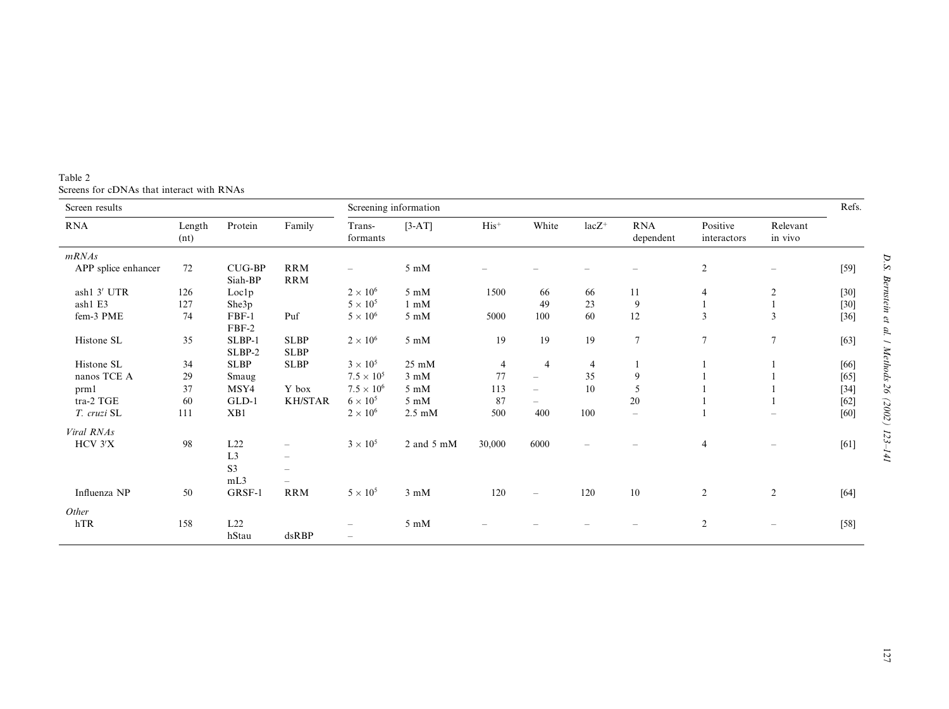| Table 2                                   |  |
|-------------------------------------------|--|
| Screens for cDNAs that interact with RNAs |  |

| Screen results      |                |                                                |                                        | Screening information    |                         |                |                          |          |                         | Refs.                   |                          |        |
|---------------------|----------------|------------------------------------------------|----------------------------------------|--------------------------|-------------------------|----------------|--------------------------|----------|-------------------------|-------------------------|--------------------------|--------|
| <b>RNA</b>          | Length<br>(nt) | Protein                                        | Family                                 | Trans-<br>formants       | $[3-AT]$                | $His+$         | White                    | $lacZ^+$ | <b>RNA</b><br>dependent | Positive<br>interactors | Relevant<br>in vivo      |        |
| mRNAs               |                |                                                |                                        |                          |                         |                |                          |          |                         |                         |                          |        |
| APP splice enhancer | 72             | <b>CUG-BP</b><br>Siah-BP                       | <b>RRM</b><br><b>RRM</b>               | $\overline{\phantom{m}}$ | $5 \text{ mM}$          |                |                          |          |                         | $\overline{2}$          | $\overline{\phantom{0}}$ | $[59]$ |
| ash1 3' UTR         | 126            | Loclp                                          |                                        | $2\times10^6$            | $5 \text{ mM}$          | 1500           | 66                       | 66       | 11                      | $\overline{4}$          | $\mathbf{2}$             | $[30]$ |
| ash1 E3             | 127            | She3p                                          |                                        | $5 \times 10^5$          | $1 \text{ }\mathrm{mM}$ |                | 49                       | 23       | 9                       |                         |                          | $[30]$ |
| fem-3 PME           | 74             | $FBF-1$<br>FBF-2                               | Puf                                    | $5\times10^6$            | $5 \text{ mM}$          | 5000           | 100                      | 60       | 12                      | 3                       | 3                        | $[36]$ |
| Histone SL          | 35             | SLBP-1<br>SLBP-2                               | <b>SLBP</b><br><b>SLBP</b>             | $2\times10^6$            | $5 \text{ mM}$          | 19             | 19                       | 19       | $\tau$                  | $\overline{7}$          | $\overline{7}$           | $[63]$ |
| Histone SL          | 34             | <b>SLBP</b>                                    | <b>SLBP</b>                            | $3 \times 10^5$          | $25 \text{ mM}$         | $\overline{4}$ | $\overline{4}$           | 4        |                         |                         |                          | $[66]$ |
| nanos TCE A         | 29             | Smaug                                          |                                        | $7.5 \times 10^{5}$      | $3 \text{ mM}$          | 77             | $\overline{\phantom{a}}$ | 35       | 9                       |                         |                          | $[65]$ |
| prm1                | 37             | MSY4                                           | Y box                                  | $7.5 \times 10^{6}$      | $5 \text{ mM}$          | 113            | $\overline{\phantom{a}}$ | 10       | 5                       |                         |                          | $[34]$ |
| tra-2 TGE           | 60             | GLD-1                                          | <b>KH/STAR</b>                         | $6 \times 10^5$          | $5 \text{ mM}$          | 87             | $\overline{\phantom{0}}$ |          | 20                      |                         |                          | $[62]$ |
| T. cruzi SL         | 111            | XB1                                            |                                        | $2\times10^6$            | $2.5 \text{ mM}$        | 500            | 400                      | 100      |                         |                         |                          | $[60]$ |
| Viral RNAs          |                |                                                |                                        |                          |                         |                |                          |          |                         |                         |                          |        |
| HCV 3'X             | 98             | L22<br>L <sub>3</sub><br>S <sub>3</sub><br>mL3 | $\qquad \qquad -$<br>$\qquad \qquad -$ | $3 \times 10^5$          | 2 and 5 mM              | 30,000         | 6000                     |          |                         | $\overline{4}$          | $\overline{\phantom{0}}$ | [61]   |
| Influenza NP        | 50             | GRSF-1                                         | <b>RRM</b>                             | $5 \times 10^5$          | $3 \text{ mM}$          | 120            | $\overline{\phantom{a}}$ | 120      | 10                      | $\overline{2}$          | $\overline{2}$           | $[64]$ |
| Other               |                |                                                |                                        |                          |                         |                |                          |          |                         |                         |                          |        |
| hTR                 | 158            | L22                                            |                                        |                          | $5 \text{ mM}$          |                |                          |          |                         | 2                       | $\overline{\phantom{0}}$ | $[58]$ |
|                     |                | hStau                                          | dsRBP                                  | $\overline{\phantom{m}}$ |                         |                |                          |          |                         |                         |                          |        |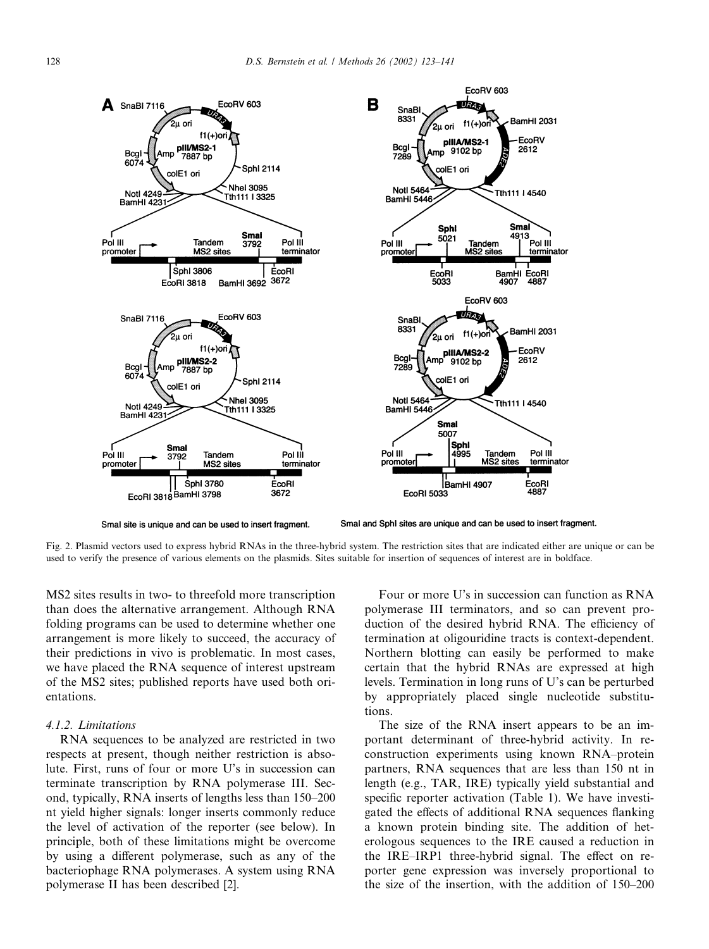

Smal site is unique and can be used to insert fragment.

Smal and SphI sites are unique and can be used to insert fragment.

Fig. 2. Plasmid vectors used to express hybrid RNAs in the three-hybrid system. The restriction sites that are indicated either are unique or can be used to verify the presence of various elements on the plasmids. Sites suitable for insertion of sequences of interest are in boldface.

MS2 sites results in two- to threefold more transcription than does the alternative arrangement. Although RNA folding programs can be used to determine whether one arrangement is more likely to succeed, the accuracy of their predictions in vivo is problematic. In most cases, we have placed the RNA sequence of interest upstream of the MS2 sites; published reports have used both orientations.

#### 4.1.2. Limitations

RNA sequences to be analyzed are restricted in two respects at present, though neither restriction is absolute. First, runs of four or more U's in succession can terminate transcription by RNA polymerase III. Second, typically, RNA inserts of lengths less than 150–200 nt yield higher signals: longer inserts commonly reduce the level of activation of the reporter (see below). In principle, both of these limitations might be overcome by using a different polymerase, such as any of the bacteriophage RNA polymerases. A system using RNA polymerase II has been described [2].

Four or more U's in succession can function as RNA polymerase III terminators, and so can prevent production of the desired hybrid RNA. The efficiency of termination at oligouridine tracts is context-dependent. Northern blotting can easily be performed to make certain that the hybrid RNAs are expressed at high levels. Termination in long runs of U's can be perturbed by appropriately placed single nucleotide substitutions.

The size of the RNA insert appears to be an important determinant of three-hybrid activity. In reconstruction experiments using known RNA–protein partners, RNA sequences that are less than 150 nt in length (e.g., TAR, IRE) typically yield substantial and specific reporter activation (Table 1). We have investigated the effects of additional RNA sequences flanking a known protein binding site. The addition of heterologous sequences to the IRE caused a reduction in the IRE–IRP1 three-hybrid signal. The effect on reporter gene expression was inversely proportional to the size of the insertion, with the addition of 150–200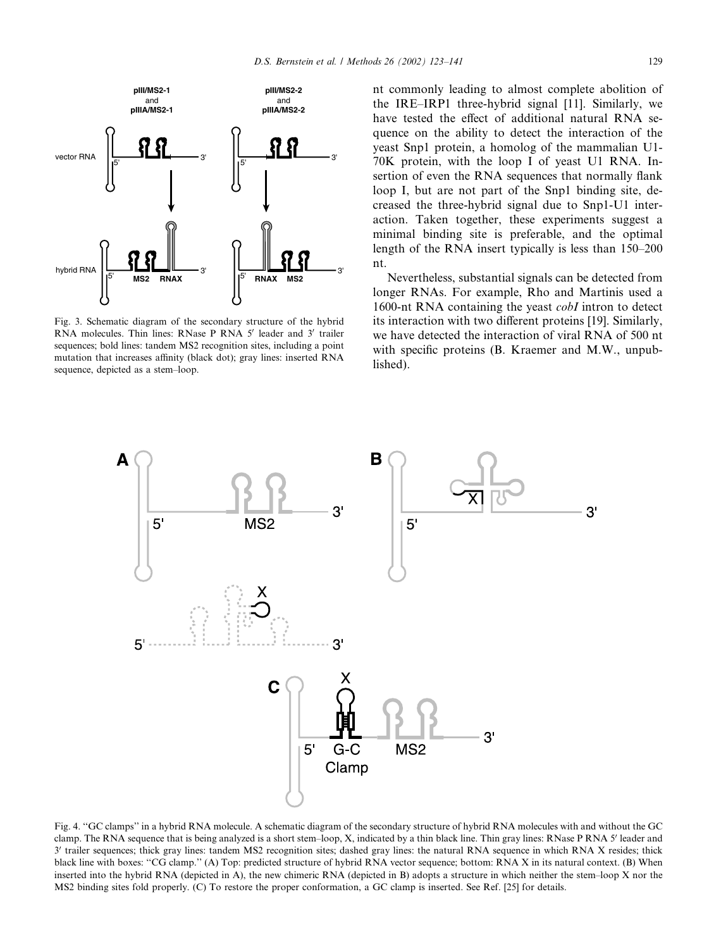

Fig. 3. Schematic diagram of the secondary structure of the hybrid RNA molecules. Thin lines: RNase P RNA 5' leader and 3' trailer sequences; bold lines: tandem MS2 recognition sites, including a point mutation that increases affinity (black dot); gray lines: inserted RNA sequence, depicted as a stem–loop.

nt commonly leading to almost complete abolition of the IRE–IRP1 three-hybrid signal [11]. Similarly, we have tested the effect of additional natural RNA sequence on the ability to detect the interaction of the yeast Snp1 protein, a homolog of the mammalian U1- 70K protein, with the loop I of yeast U1 RNA. Insertion of even the RNA sequences that normally flank loop I, but are not part of the Snp1 binding site, decreased the three-hybrid signal due to Snp1-U1 interaction. Taken together, these experiments suggest a minimal binding site is preferable, and the optimal length of the RNA insert typically is less than 150–200 nt.

Nevertheless, substantial signals can be detected from longer RNAs. For example, Rho and Martinis used a 1600-nt RNA containing the yeast *cobI* intron to detect its interaction with two different proteins [19]. Similarly, we have detected the interaction of viral RNA of 500 nt with specific proteins (B. Kraemer and M.W., unpublished).



Fig. 4. "GC clamps" in a hybrid RNA molecule. A schematic diagram of the secondary structure of hybrid RNA molecules with and without the GC clamp. The RNA sequence that is being analyzed is a short stem–loop, X, indicated by a thin black line. Thin gray lines: RNase P RNA 5' leader and 3' trailer sequences; thick gray lines: tandem MS2 recognition sites; dashed gray lines: the natural RNA sequence in which RNA X resides; thick black line with boxes: "CG clamp." (A) Top: predicted structure of hybrid RNA vector sequence; bottom: RNA X in its natural context. (B) When inserted into the hybrid RNA (depicted in A), the new chimeric RNA (depicted in B) adopts a structure in which neither the stem–loop X nor the MS2 binding sites fold properly. (C) To restore the proper conformation, a GC clamp is inserted. See Ref. [25] for details.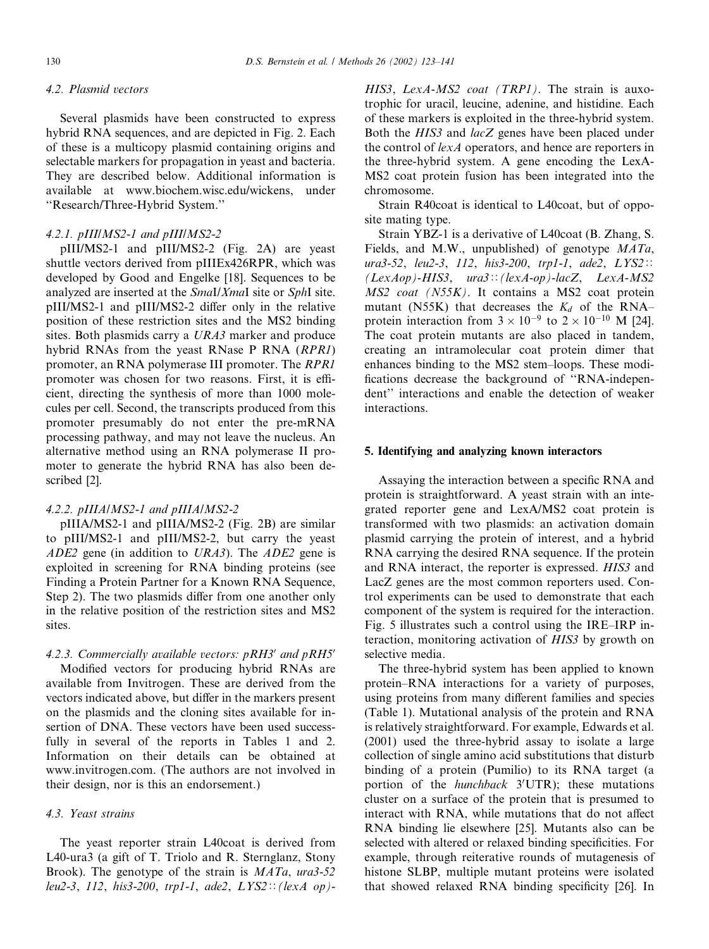# 4.2. Plasmid vectors

Several plasmids have been constructed to express hybrid RNA sequences, and are depicted in Fig. 2. Each of these is a multicopy plasmid containing origins and selectable markers for propagation in yeast and bacteria. They are described below. Additional information is available at www.biochem.wisc.edu/wickens, under ''Research/Three-Hybrid System.''

# 4.2.1. pIII/MS2-1 and pIII/MS2-2

pIII/MS2-1 and pIII/MS2-2 (Fig. 2A) are yeast shuttle vectors derived from pIIIEx426RPR, which was developed by Good and Engelke [18]. Sequences to be analyzed are inserted at the SmaI/XmaI site or SphI site. pIII/MS2-1 and pIII/MS2-2 differ only in the relative position of these restriction sites and the MS2 binding sites. Both plasmids carry a URA3 marker and produce hybrid RNAs from the yeast RNase P RNA (RPR1) promoter, an RNA polymerase III promoter. The RPR1 promoter was chosen for two reasons. First, it is efficient, directing the synthesis of more than 1000 molecules per cell. Second, the transcripts produced from this promoter presumably do not enter the pre-mRNA processing pathway, and may not leave the nucleus. An alternative method using an RNA polymerase II promoter to generate the hybrid RNA has also been described [2].

# 4.2.2. pIIIA/MS2-1 and pIIIA/MS2-2

pIIIA/MS2-1 and pIIIA/MS2-2 (Fig. 2B) are similar to pIII/MS2-1 and pIII/MS2-2, but carry the yeast ADE2 gene (in addition to URA3). The ADE2 gene is exploited in screening for RNA binding proteins (see Finding a Protein Partner for a Known RNA Sequence, Step 2). The two plasmids differ from one another only in the relative position of the restriction sites and MS2 sites.

## 4.2.3. Commercially available vectors:  $pRH3'$  and  $pRH5'$

Modified vectors for producing hybrid RNAs are available from Invitrogen. These are derived from the vectors indicated above, but differ in the markers present on the plasmids and the cloning sites available for insertion of DNA. These vectors have been used successfully in several of the reports in Tables 1 and 2. Information on their details can be obtained at www.invitrogen.com. (The authors are not involved in their design, nor is this an endorsement.)

# 4.3. Yeast strains

The yeast reporter strain L40coat is derived from L40-ura3 (a gift of T. Triolo and R. Sternglanz, Stony Brook). The genotype of the strain is  $MATa$ , ura3-52 leu2-3, 112, his3-200, trp1-1, ade2,  $LYS2::(lex A op)$ -

HIS3, LexA-MS2 coat (TRP1). The strain is auxotrophic for uracil, leucine, adenine, and histidine. Each of these markers is exploited in the three-hybrid system. Both the HIS3 and lacZ genes have been placed under the control of lexA operators, and hence are reporters in the three-hybrid system. A gene encoding the LexA-MS2 coat protein fusion has been integrated into the chromosome.

Strain R40coat is identical to L40coat, but of opposite mating type.

Strain YBZ-1 is a derivative of L40coat (B. Zhang, S. Fields, and M.W., unpublished) of genotype MATa, ura3-52, leu2-3, 112, his3-200, trp1-1, ade2, LYS2::  $(LexAop)$ -HIS3, ura3 $::(lexA-op)$ -lacZ, LexA-MS2 MS2 coat (N55K). It contains a MS2 coat protein mutant (N55K) that decreases the  $K_d$  of the RNA– protein interaction from  $3 \times 10^{-9}$  to  $2 \times 10^{-10}$  M [24]. The coat protein mutants are also placed in tandem, creating an intramolecular coat protein dimer that enhances binding to the MS2 stem–loops. These modifications decrease the background of ''RNA-independent'' interactions and enable the detection of weaker interactions.

## 5. Identifying and analyzing known interactors

Assaying the interaction between a specific RNA and protein is straightforward. A yeast strain with an integrated reporter gene and LexA/MS2 coat protein is transformed with two plasmids: an activation domain plasmid carrying the protein of interest, and a hybrid RNA carrying the desired RNA sequence. If the protein and RNA interact, the reporter is expressed. HIS3 and LacZ genes are the most common reporters used. Control experiments can be used to demonstrate that each component of the system is required for the interaction. Fig. 5 illustrates such a control using the IRE–IRP interaction, monitoring activation of HIS3 by growth on selective media.

The three-hybrid system has been applied to known protein–RNA interactions for a variety of purposes, using proteins from many different families and species (Table 1). Mutational analysis of the protein and RNA is relatively straightforward. For example, Edwards et al. (2001) used the three-hybrid assay to isolate a large collection of single amino acid substitutions that disturb binding of a protein (Pumilio) to its RNA target (a portion of the *hunchback* 3'UTR); these mutations cluster on a surface of the protein that is presumed to interact with RNA, while mutations that do not affect RNA binding lie elsewhere [25]. Mutants also can be selected with altered or relaxed binding specificities. For example, through reiterative rounds of mutagenesis of histone SLBP, multiple mutant proteins were isolated that showed relaxed RNA binding specificity [26]. In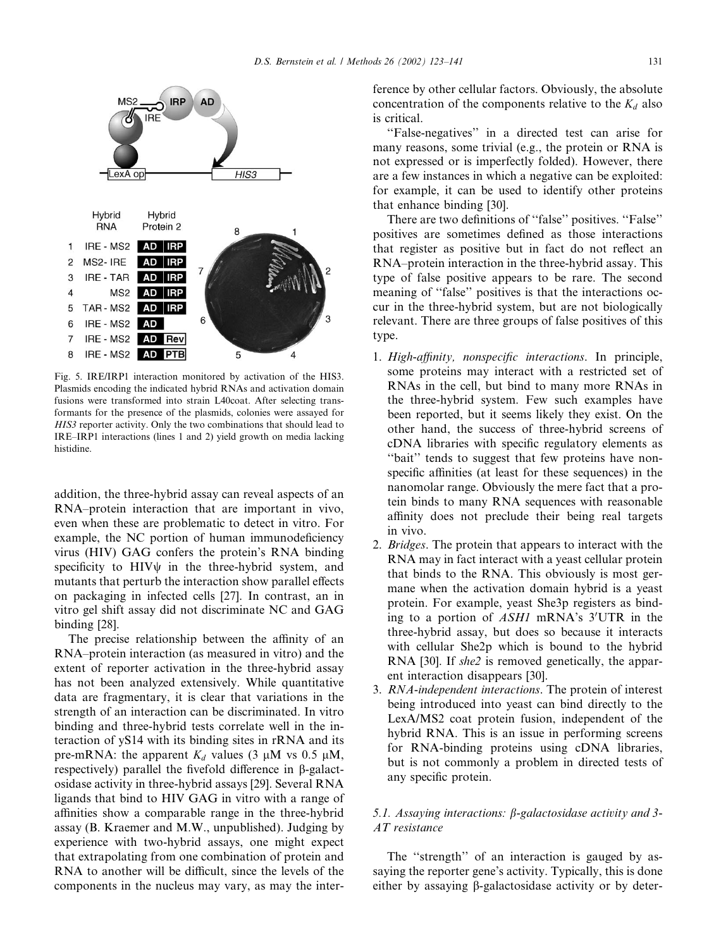

Fig. 5. IRE/IRP1 interaction monitored by activation of the HIS3. Plasmids encoding the indicated hybrid RNAs and activation domain fusions were transformed into strain L40coat. After selecting transformants for the presence of the plasmids, colonies were assayed for HIS3 reporter activity. Only the two combinations that should lead to IRE–IRP1 interactions (lines 1 and 2) yield growth on media lacking histidine.

addition, the three-hybrid assay can reveal aspects of an RNA–protein interaction that are important in vivo, even when these are problematic to detect in vitro. For example, the NC portion of human immunodeficiency virus (HIV) GAG confers the protein's RNA binding specificity to  $HIV\psi$  in the three-hybrid system, and mutants that perturb the interaction show parallel effects on packaging in infected cells [27]. In contrast, an in vitro gel shift assay did not discriminate NCand GAG binding [28].

The precise relationship between the affinity of an RNA–protein interaction (as measured in vitro) and the extent of reporter activation in the three-hybrid assay has not been analyzed extensively. While quantitative data are fragmentary, it is clear that variations in the strength of an interaction can be discriminated. In vitro binding and three-hybrid tests correlate well in the interaction of yS14 with its binding sites in rRNA and its pre-mRNA: the apparent  $K_d$  values (3  $\mu$ M vs 0.5  $\mu$ M, respectively) parallel the fivefold difference in  $\beta$ -galactosidase activity in three-hybrid assays [29]. Several RNA ligands that bind to HIV GAG in vitro with a range of affinities show a comparable range in the three-hybrid assay (B. Kraemer and M.W., unpublished). Judging by experience with two-hybrid assays, one might expect that extrapolating from one combination of protein and RNA to another will be difficult, since the levels of the components in the nucleus may vary, as may the interference by other cellular factors. Obviously, the absolute concentration of the components relative to the  $K_d$  also is critical.

''False-negatives'' in a directed test can arise for many reasons, some trivial (e.g., the protein or RNA is not expressed or is imperfectly folded). However, there are a few instances in which a negative can be exploited: for example, it can be used to identify other proteins that enhance binding [30].

There are two definitions of ''false'' positives. ''False'' positives are sometimes defined as those interactions that register as positive but in fact do not reflect an RNA–protein interaction in the three-hybrid assay. This type of false positive appears to be rare. The second meaning of ''false'' positives is that the interactions occur in the three-hybrid system, but are not biologically relevant. There are three groups of false positives of this type.

- 1. High-affinity, nonspecific interactions. In principle, some proteins may interact with a restricted set of RNAs in the cell, but bind to many more RNAs in the three-hybrid system. Few such examples have been reported, but it seems likely they exist. On the other hand, the success of three-hybrid screens of cDNA libraries with specific regulatory elements as "bait" tends to suggest that few proteins have nonspecific affinities (at least for these sequences) in the nanomolar range. Obviously the mere fact that a protein binds to many RNA sequences with reasonable affinity does not preclude their being real targets in vivo.
- 2. Bridges. The protein that appears to interact with the RNA may in fact interact with a yeast cellular protein that binds to the RNA. This obviously is most germane when the activation domain hybrid is a yeast protein. For example, yeast She3p registers as binding to a portion of ASH1 mRNA's 3'UTR in the three-hybrid assay, but does so because it interacts with cellular She2p which is bound to the hybrid RNA [30]. If *she2* is removed genetically, the apparent interaction disappears [30].
- 3. RNA-independent interactions. The protein of interest being introduced into yeast can bind directly to the LexA/MS2 coat protein fusion, independent of the hybrid RNA. This is an issue in performing screens for RNA-binding proteins using cDNA libraries, but is not commonly a problem in directed tests of any specific protein.

# 5.1. Assaying interactions:  $\beta$ -galactosidase activity and 3-AT resistance

The ''strength'' of an interaction is gauged by assaying the reporter gene's activity. Typically, this is done either by assaying  $\beta$ -galactosidase activity or by deter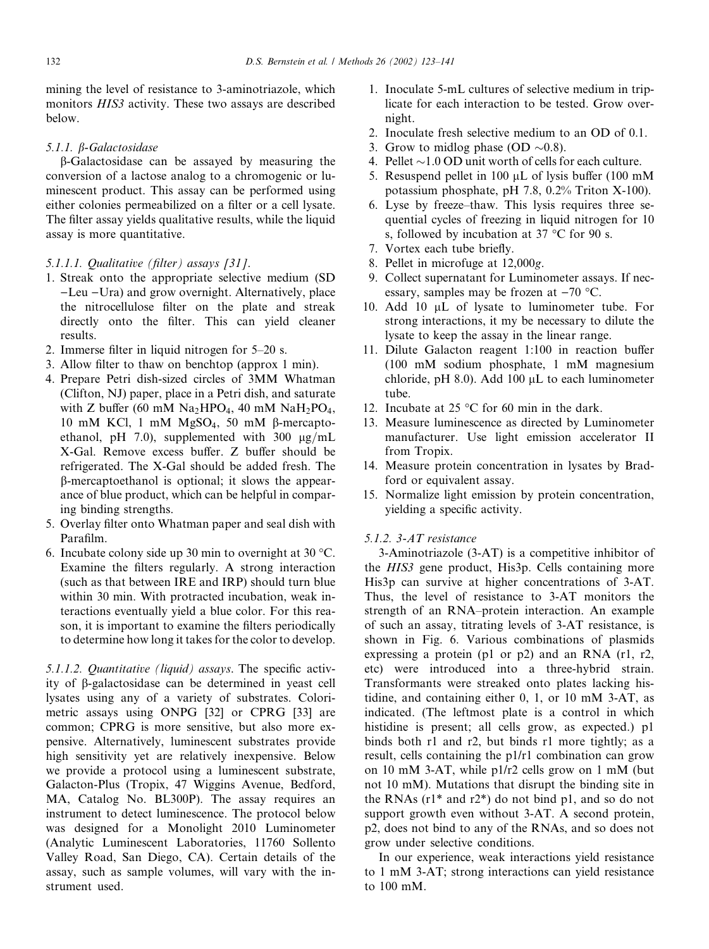mining the level of resistance to 3-aminotriazole, which monitors HIS3 activity. These two assays are described below.

## 5.1.1. b-Galactosidase

b-Galactosidase can be assayed by measuring the conversion of a lactose analog to a chromogenic or luminescent product. This assay can be performed using either colonies permeabilized on a filter or a cell lysate. The filter assay yields qualitative results, while the liquid assay is more quantitative.

# 5.1.1.1. Qualitative (filter) assays [31].

- 1. Streak onto the appropriate selective medium (SD  $-Leu-Ura$ ) and grow overnight. Alternatively, place the nitrocellulose filter on the plate and streak directly onto the filter. This can yield cleaner results.
- 2. Immerse filter in liquid nitrogen for 5–20 s.
- 3. Allow filter to thaw on benchtop (approx 1 min).
- 4. Prepare Petri dish-sized circles of 3MM Whatman (Clifton, NJ) paper, place in a Petri dish, and saturate with Z buffer (60 mM  $Na<sub>2</sub>HPO<sub>4</sub>$ , 40 mM  $NaH<sub>2</sub>PO<sub>4</sub>$ , 10 mM KCl, 1 mM  $MgSO<sub>4</sub>$ , 50 mM  $\beta$ -mercaptoethanol, pH 7.0), supplemented with 300  $\mu$ g/mL X-Gal. Remove excess buffer. Z buffer should be refrigerated. The X-Gal should be added fresh. The b-mercaptoethanol is optional; it slows the appearance of blue product, which can be helpful in comparing binding strengths.
- 5. Overlay filter onto Whatman paper and seal dish with Parafilm.
- 6. Incubate colony side up 30 min to overnight at 30  $^{\circ}$ C. Examine the filters regularly. A strong interaction (such as that between IRE and IRP) should turn blue within 30 min. With protracted incubation, weak interactions eventually yield a blue color. For this reason, it is important to examine the filters periodically to determine how long it takes for the color to develop.

5.1.1.2. Quantitative (liquid) assays. The specific activity of b-galactosidase can be determined in yeast cell lysates using any of a variety of substrates. Colorimetric assays using ONPG [32] or CPRG [33] are common; CPRG is more sensitive, but also more expensive. Alternatively, luminescent substrates provide high sensitivity yet are relatively inexpensive. Below we provide a protocol using a luminescent substrate, Galacton-Plus (Tropix, 47 Wiggins Avenue, Bedford, MA, Catalog No. BL300P). The assay requires an instrument to detect luminescence. The protocol below was designed for a Monolight 2010 Luminometer (Analytic Luminescent Laboratories, 11760 Sollento Valley Road, San Diego, CA). Certain details of the assay, such as sample volumes, will vary with the instrument used.

- 1. Inoculate 5-mL cultures of selective medium in triplicate for each interaction to be tested. Grow overnight.
- 2. Inoculate fresh selective medium to an OD of 0.1.
- 3. Grow to midlog phase (OD  $\sim 0.8$ ).
- 4. Pellet  $\sim$ 1.0 OD unit worth of cells for each culture.
- 5. Resuspend pellet in 100  $\mu$ L of lysis buffer (100 mM potassium phosphate, pH 7.8, 0.2% Triton X-100).
- 6. Lyse by freeze–thaw. This lysis requires three sequential cycles of freezing in liquid nitrogen for 10 s, followed by incubation at 37  $\mathrm{^{\circ}C}$  for 90 s.
- 7. Vortex each tube briefly.
- 8. Pellet in microfuge at 12,000g.
- 9. Collect supernatant for Luminometer assays. If necessary, samples may be frozen at  $-70$  °C.
- 10. Add 10 µL of lysate to luminometer tube. For strong interactions, it my be necessary to dilute the lysate to keep the assay in the linear range.
- 11. Dilute Galacton reagent 1:100 in reaction buffer (100 mM sodium phosphate, 1 mM magnesium chloride, pH 8.0). Add 100  $\mu$ L to each luminometer tube.
- 12. Incubate at 25  $\degree$ C for 60 min in the dark.
- 13. Measure luminescence as directed by Luminometer manufacturer. Use light emission accelerator II from Tropix.
- 14. Measure protein concentration in lysates by Bradford or equivalent assay.
- 15. Normalize light emission by protein concentration, yielding a specific activity.

# 5.1.2. 3-AT resistance

3-Aminotriazole (3-AT) is a competitive inhibitor of the HIS3 gene product, His3p. Cells containing more His3p can survive at higher concentrations of 3-AT. Thus, the level of resistance to 3-AT monitors the strength of an RNA–protein interaction. An example of such an assay, titrating levels of 3-AT resistance, is shown in Fig. 6. Various combinations of plasmids expressing a protein (p1 or p2) and an RNA (r1, r2, etc) were introduced into a three-hybrid strain. Transformants were streaked onto plates lacking histidine, and containing either 0, 1, or 10 mM 3-AT, as indicated. (The leftmost plate is a control in which histidine is present; all cells grow, as expected.) p1 binds both r1 and r2, but binds r1 more tightly; as a result, cells containing the p1/r1 combination can grow on 10 mM 3-AT, while p1/r2 cells grow on 1 mM (but not 10 mM). Mutations that disrupt the binding site in the RNAs  $(r1^*$  and  $r2^*)$  do not bind p1, and so do not support growth even without 3-AT. A second protein, p2, does not bind to any of the RNAs, and so does not grow under selective conditions.

In our experience, weak interactions yield resistance to 1 mM 3-AT; strong interactions can yield resistance to 100 mM.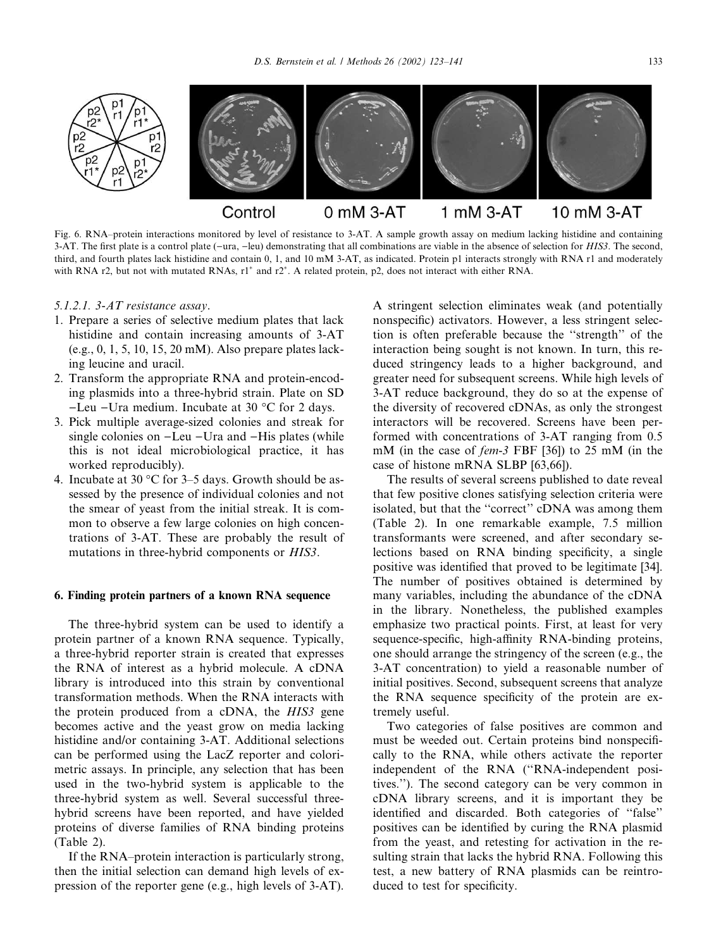

Fig. 6. RNA–protein interactions monitored by level of resistance to 3-AT. A sample growth assay on medium lacking histidine and containing 3-AT. The first plate is a control plate (-ura, -leu) demonstrating that all combinations are viable in the absence of selection for HIS3. The second, third, and fourth plates lack histidine and contain 0, 1, and 10 mM 3-AT, as indicated. Protein p1 interacts strongly with RNA r1 and moderately with RNA r2, but not with mutated RNAs, r1<sup>\*</sup> and r2<sup>\*</sup>. A related protein, p2, does not interact with either RNA.

#### 5.1.2.1. 3-AT resistance assay.

- 1. Prepare a series of selective medium plates that lack histidine and contain increasing amounts of 3-AT (e.g., 0, 1, 5, 10, 15, 20 mM). Also prepare plates lacking leucine and uracil.
- 2. Transform the appropriate RNA and protein-encoding plasmids into a three-hybrid strain. Plate on SD  $-Leu$  – Ura medium. Incubate at 30 °C for 2 days.
- 3. Pick multiple average-sized colonies and streak for single colonies on  $-Leu$  –Ura and –His plates (while this is not ideal microbiological practice, it has worked reproducibly).
- 4. Incubate at 30  $\degree$ C for 3–5 days. Growth should be assessed by the presence of individual colonies and not the smear of yeast from the initial streak. It is common to observe a few large colonies on high concentrations of 3-AT. These are probably the result of mutations in three-hybrid components or HIS3.

#### 6. Finding protein partners of a known RNA sequence

The three-hybrid system can be used to identify a protein partner of a known RNA sequence. Typically, a three-hybrid reporter strain is created that expresses the RNA of interest as a hybrid molecule. A cDNA library is introduced into this strain by conventional transformation methods. When the RNA interacts with the protein produced from a cDNA, the HIS3 gene becomes active and the yeast grow on media lacking histidine and/or containing 3-AT. Additional selections can be performed using the LacZ reporter and colorimetric assays. In principle, any selection that has been used in the two-hybrid system is applicable to the three-hybrid system as well. Several successful threehybrid screens have been reported, and have yielded proteins of diverse families of RNA binding proteins (Table 2).

If the RNA–protein interaction is particularly strong, then the initial selection can demand high levels of expression of the reporter gene (e.g., high levels of 3-AT).

A stringent selection eliminates weak (and potentially nonspecific) activators. However, a less stringent selection is often preferable because the ''strength'' of the interaction being sought is not known. In turn, this reduced stringency leads to a higher background, and greater need for subsequent screens. While high levels of 3-AT reduce background, they do so at the expense of the diversity of recovered cDNAs, as only the strongest interactors will be recovered. Screens have been performed with concentrations of 3-AT ranging from 0.5 mM (in the case of fem-3 FBF [36]) to 25 mM (in the case of histone mRNA SLBP [63,66]).

The results of several screens published to date reveal that few positive clones satisfying selection criteria were isolated, but that the ''correct'' cDNA was among them (Table 2). In one remarkable example, 7.5 million transformants were screened, and after secondary selections based on RNA binding specificity, a single positive was identified that proved to be legitimate [34]. The number of positives obtained is determined by many variables, including the abundance of the cDNA in the library. Nonetheless, the published examples emphasize two practical points. First, at least for very sequence-specific, high-affinity RNA-binding proteins, one should arrange the stringency of the screen (e.g., the 3-AT concentration) to yield a reasonable number of initial positives. Second, subsequent screens that analyze the RNA sequence specificity of the protein are extremely useful.

Two categories of false positives are common and must be weeded out. Certain proteins bind nonspecifically to the RNA, while others activate the reporter independent of the RNA (''RNA-independent positives.''). The second category can be very common in cDNA library screens, and it is important they be identified and discarded. Both categories of ''false'' positives can be identified by curing the RNA plasmid from the yeast, and retesting for activation in the resulting strain that lacks the hybrid RNA. Following this test, a new battery of RNA plasmids can be reintroduced to test for specificity.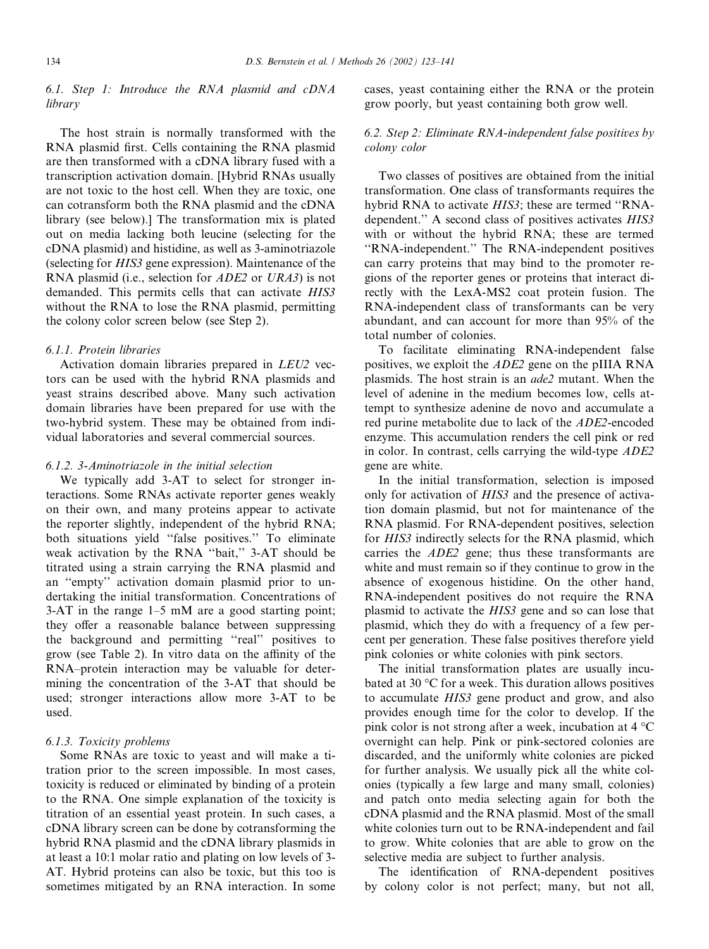# 6.1. Step 1: Introduce the RNA plasmid and cDNA library

The host strain is normally transformed with the RNA plasmid first. Cells containing the RNA plasmid are then transformed with a cDNA library fused with a transcription activation domain. [Hybrid RNAs usually are not toxic to the host cell. When they are toxic, one can cotransform both the RNA plasmid and the cDNA library (see below).] The transformation mix is plated out on media lacking both leucine (selecting for the cDNA plasmid) and histidine, as well as 3-aminotriazole (selecting for HIS3 gene expression). Maintenance of the RNA plasmid (i.e., selection for ADE2 or URA3) is not demanded. This permits cells that can activate HIS3 without the RNA to lose the RNA plasmid, permitting the colony color screen below (see Step 2).

## 6.1.1. Protein libraries

Activation domain libraries prepared in LEU2 vectors can be used with the hybrid RNA plasmids and yeast strains described above. Many such activation domain libraries have been prepared for use with the two-hybrid system. These may be obtained from individual laboratories and several commercial sources.

## 6.1.2. 3-Aminotriazole in the initial selection

We typically add 3-AT to select for stronger interactions. Some RNAs activate reporter genes weakly on their own, and many proteins appear to activate the reporter slightly, independent of the hybrid RNA; both situations yield ''false positives.'' To eliminate weak activation by the RNA ''bait,'' 3-AT should be titrated using a strain carrying the RNA plasmid and an ''empty'' activation domain plasmid prior to undertaking the initial transformation. Concentrations of 3-AT in the range 1–5 mM are a good starting point; they offer a reasonable balance between suppressing the background and permitting ''real'' positives to grow (see Table 2). In vitro data on the affinity of the RNA–protein interaction may be valuable for determining the concentration of the 3-AT that should be used; stronger interactions allow more 3-AT to be used.

# 6.1.3. Toxicity problems

Some RNAs are toxic to yeast and will make a titration prior to the screen impossible. In most cases, toxicity is reduced or eliminated by binding of a protein to the RNA. One simple explanation of the toxicity is titration of an essential yeast protein. In such cases, a cDNA library screen can be done by cotransforming the hybrid RNA plasmid and the cDNA library plasmids in at least a 10:1 molar ratio and plating on low levels of 3- AT. Hybrid proteins can also be toxic, but this too is sometimes mitigated by an RNA interaction. In some cases, yeast containing either the RNA or the protein grow poorly, but yeast containing both grow well.

# 6.2. Step 2: Eliminate RNA-independent false positives by colony color

Two classes of positives are obtained from the initial transformation. One class of transformants requires the hybrid RNA to activate HIS3; these are termed ''RNAdependent.'' A second class of positives activates HIS3 with or without the hybrid RNA; these are termed ''RNA-independent.'' The RNA-independent positives can carry proteins that may bind to the promoter regions of the reporter genes or proteins that interact directly with the LexA-MS2 coat protein fusion. The RNA-independent class of transformants can be very abundant, and can account for more than 95% of the total number of colonies.

To facilitate eliminating RNA-independent false positives, we exploit the ADE2 gene on the pIIIA RNA plasmids. The host strain is an ade2 mutant. When the level of adenine in the medium becomes low, cells attempt to synthesize adenine de novo and accumulate a red purine metabolite due to lack of the ADE2-encoded enzyme. This accumulation renders the cell pink or red in color. In contrast, cells carrying the wild-type ADE2 gene are white.

In the initial transformation, selection is imposed only for activation of HIS3 and the presence of activation domain plasmid, but not for maintenance of the RNA plasmid. For RNA-dependent positives, selection for HIS3 indirectly selects for the RNA plasmid, which carries the ADE2 gene; thus these transformants are white and must remain so if they continue to grow in the absence of exogenous histidine. On the other hand, RNA-independent positives do not require the RNA plasmid to activate the HIS3 gene and so can lose that plasmid, which they do with a frequency of a few percent per generation. These false positives therefore yield pink colonies or white colonies with pink sectors.

The initial transformation plates are usually incubated at 30  $\mathrm{^{\circ}C}$  for a week. This duration allows positives to accumulate HIS3 gene product and grow, and also provides enough time for the color to develop. If the pink color is not strong after a week, incubation at  $4^{\circ}$ C overnight can help. Pink or pink-sectored colonies are discarded, and the uniformly white colonies are picked for further analysis. We usually pick all the white colonies (typically a few large and many small, colonies) and patch onto media selecting again for both the cDNA plasmid and the RNA plasmid. Most of the small white colonies turn out to be RNA-independent and fail to grow. White colonies that are able to grow on the selective media are subject to further analysis.

The identification of RNA-dependent positives by colony color is not perfect; many, but not all,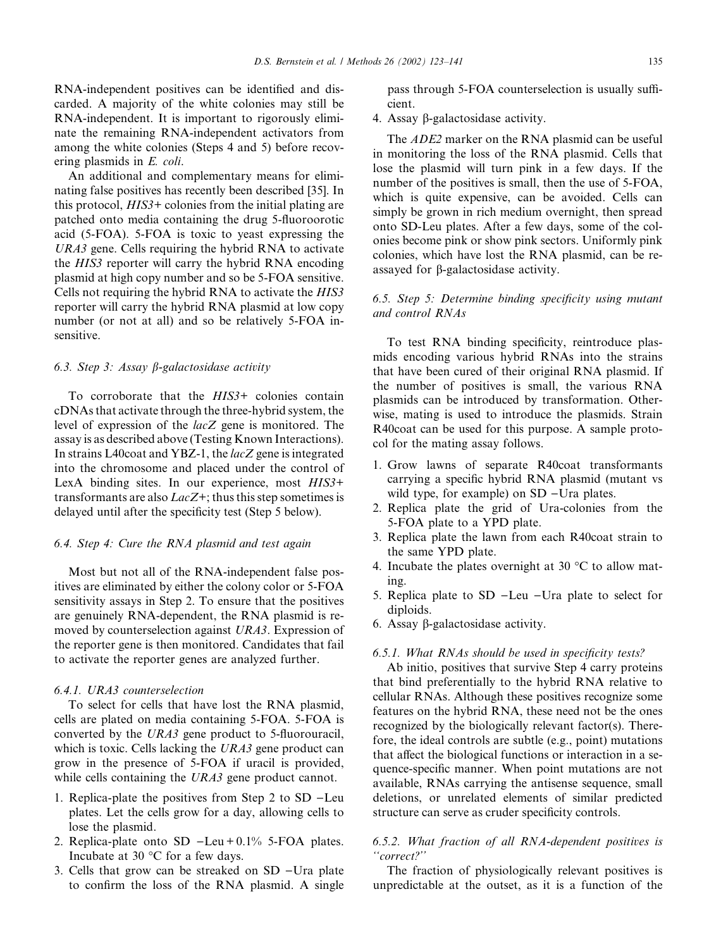RNA-independent positives can be identified and discarded. A majority of the white colonies may still be RNA-independent. It is important to rigorously eliminate the remaining RNA-independent activators from among the white colonies (Steps 4 and 5) before recovering plasmids in E. coli.

An additional and complementary means for eliminating false positives has recently been described [35]. In this protocol, HIS3+ colonies from the initial plating are patched onto media containing the drug 5-fluoroorotic acid (5-FOA). 5-FOA is toxic to yeast expressing the URA3 gene. Cells requiring the hybrid RNA to activate the HIS3 reporter will carry the hybrid RNA encoding plasmid at high copy number and so be 5-FOA sensitive. Cells not requiring the hybrid RNA to activate the HIS3 reporter will carry the hybrid RNA plasmid at low copy number (or not at all) and so be relatively 5-FOA insensitive.

## 6.3. Step 3: Assay  $\beta$ -galactosidase activity

To corroborate that the HIS3+ colonies contain cDNAs that activate through the three-hybrid system, the level of expression of the lacZ gene is monitored. The assay is as described above (Testing Known Interactions). In strains L40coat and YBZ-1, the *lacZ* gene is integrated into the chromosome and placed under the control of LexA binding sites. In our experience, most HIS3+ transformants are also  $LacZ$ +; thus this step sometimes is delayed until after the specificity test (Step 5 below).

#### 6.4. Step 4: Cure the RNA plasmid and test again

Most but not all of the RNA-independent false positives are eliminated by either the colony color or 5-FOA sensitivity assays in Step 2. To ensure that the positives are genuinely RNA-dependent, the RNA plasmid is removed by counterselection against URA3. Expression of the reporter gene is then monitored. Candidates that fail to activate the reporter genes are analyzed further.

## 6.4.1. URA3 counterselection

To select for cells that have lost the RNA plasmid, cells are plated on media containing 5-FOA. 5-FOA is converted by the URA3 gene product to 5-fluorouracil, which is toxic. Cells lacking the URA3 gene product can grow in the presence of 5-FOA if uracil is provided, while cells containing the URA3 gene product cannot.

- 1. Replica-plate the positives from Step 2 to  $SD$  –Leu plates. Let the cells grow for a day, allowing cells to lose the plasmid.
- 2. Replica-plate onto SD  $-Leu + 0.1\%$  5-FOA plates. Incubate at 30  $\mathrm{^{\circ}C}$  for a few days.
- 3. Cells that grow can be streaked on  $SD$  -Ura plate to confirm the loss of the RNA plasmid. A single

pass through 5-FOA counterselection is usually sufficient.

4. Assay b-galactosidase activity.

The *ADE2* marker on the RNA plasmid can be useful in monitoring the loss of the RNA plasmid. Cells that lose the plasmid will turn pink in a few days. If the number of the positives is small, then the use of 5-FOA, which is quite expensive, can be avoided. Cells can simply be grown in rich medium overnight, then spread onto SD-Leu plates. After a few days, some of the colonies become pink or show pink sectors. Uniformly pink colonies, which have lost the RNA plasmid, can be reassayed for b-galactosidase activity.

# 6.5. Step 5: Determine binding specificity using mutant and control RNAs

To test RNA binding specificity, reintroduce plasmids encoding various hybrid RNAs into the strains that have been cured of their original RNA plasmid. If the number of positives is small, the various RNA plasmids can be introduced by transformation. Otherwise, mating is used to introduce the plasmids. Strain R40coat can be used for this purpose. A sample protocol for the mating assay follows.

- 1. Grow lawns of separate R40coat transformants carrying a specific hybrid RNA plasmid (mutant vs wild type, for example) on  $SD$  -Ura plates.
- 2. Replica plate the grid of Ura-colonies from the 5-FOA plate to a YPD plate.
- 3. Replica plate the lawn from each R40coat strain to the same YPD plate.
- 4. Incubate the plates overnight at 30  $\mathrm{^{\circ}C}$  to allow mating.
- 5. Replica plate to  $SD$  –Leu –Ura plate to select for diploids.
- 6. Assay  $\beta$ -galactosidase activity.

## 6.5.1. What RNAs should be used in specificity tests?

Ab initio, positives that survive Step 4 carry proteins that bind preferentially to the hybrid RNA relative to cellular RNAs. Although these positives recognize some features on the hybrid RNA, these need not be the ones recognized by the biologically relevant factor(s). Therefore, the ideal controls are subtle (e.g., point) mutations that affect the biological functions or interaction in a sequence-specific manner. When point mutations are not available, RNAs carrying the antisense sequence, small deletions, or unrelated elements of similar predicted structure can serve as cruder specificity controls.

# 6.5.2. What fraction of all RNA-dependent positives is ''correct?''

The fraction of physiologically relevant positives is unpredictable at the outset, as it is a function of the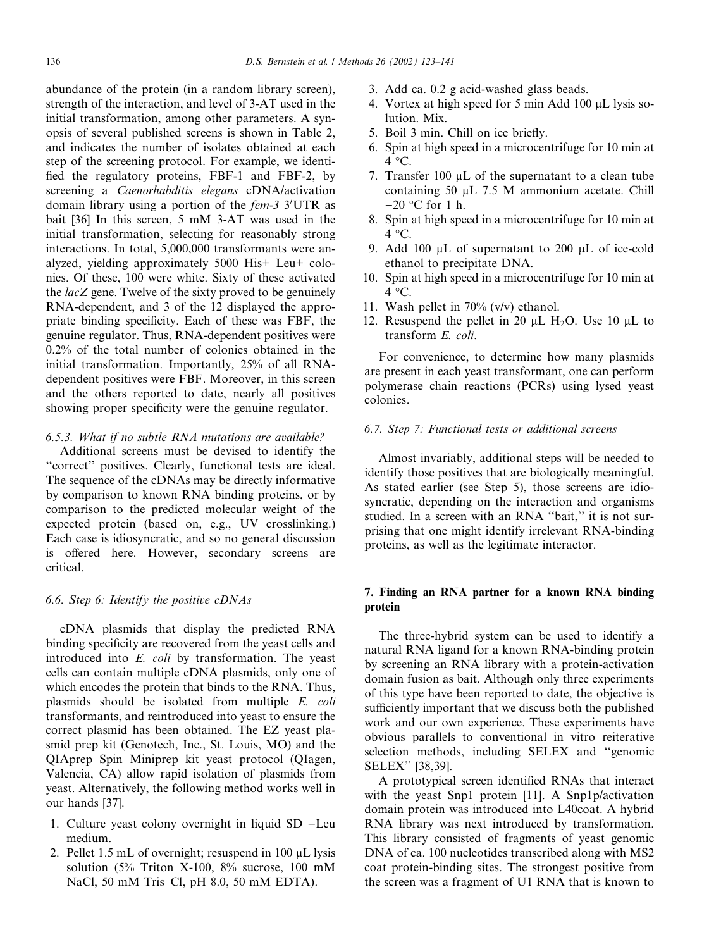abundance of the protein (in a random library screen), strength of the interaction, and level of 3-AT used in the initial transformation, among other parameters. A synopsis of several published screens is shown in Table 2, and indicates the number of isolates obtained at each step of the screening protocol. For example, we identified the regulatory proteins, FBF-1 and FBF-2, by screening a *Caenorhabditis elegans* cDNA/activation domain library using a portion of the fem-3 3'UTR as bait [36] In this screen, 5 mM 3-AT was used in the initial transformation, selecting for reasonably strong interactions. In total, 5,000,000 transformants were analyzed, yielding approximately 5000 His+ Leu+ colonies. Of these, 100 were white. Sixty of these activated the  $lacZ$  gene. Twelve of the sixty proved to be genuinely RNA-dependent, and 3 of the 12 displayed the appropriate binding specificity. Each of these was FBF, the genuine regulator. Thus, RNA-dependent positives were 0.2% of the total number of colonies obtained in the initial transformation. Importantly, 25% of all RNAdependent positives were FBF. Moreover, in this screen and the others reported to date, nearly all positives showing proper specificity were the genuine regulator.

# 6.5.3. What if no subtle RNA mutations are available?

Additional screens must be devised to identify the ''correct'' positives. Clearly, functional tests are ideal. The sequence of the cDNAs may be directly informative by comparison to known RNA binding proteins, or by comparison to the predicted molecular weight of the expected protein (based on, e.g., UV crosslinking.) Each case is idiosyncratic, and so no general discussion is offered here. However, secondary screens are critical.

# 6.6. Step 6: Identify the positive cDNAs

cDNA plasmids that display the predicted RNA binding specificity are recovered from the yeast cells and introduced into E. coli by transformation. The yeast cells can contain multiple cDNA plasmids, only one of which encodes the protein that binds to the RNA. Thus, plasmids should be isolated from multiple E. coli transformants, and reintroduced into yeast to ensure the correct plasmid has been obtained. The EZ yeast plasmid prep kit (Genotech, Inc., St. Louis, MO) and the QIAprep Spin Miniprep kit yeast protocol (QIagen, Valencia, CA) allow rapid isolation of plasmids from yeast. Alternatively, the following method works well in our hands [37].

- 1. Culture yeast colony overnight in liquid  $SD$  -Leu medium.
- 2. Pellet 1.5 mL of overnight; resuspend in  $100 \mu L$  lysis solution (5% Triton X-100, 8% sucrose, 100 mM NaCl, 50 mM Tris–Cl, pH 8.0, 50 mM EDTA).
- 3. Add ca. 0.2 g acid-washed glass beads.
- 4. Vortex at high speed for 5 min Add 100  $\mu$ L lysis solution. Mix.
- 5. Boil 3 min. Chill on ice briefly.
- 6. Spin at high speed in a microcentrifuge for 10 min at 4 °C.
- 7. Transfer 100  $\mu$ L of the supernatant to a clean tube containing 50  $\mu$ L 7.5 M ammonium acetate. Chill  $-20$  °C for 1 h.
- 8. Spin at high speed in a microcentrifuge for 10 min at 4 °C.
- 9. Add 100  $\mu$ L of supernatant to 200  $\mu$ L of ice-cold ethanol to precipitate DNA.
- 10. Spin at high speed in a microcentrifuge for 10 min at 4 °C.
- 11. Wash pellet in 70% (v/v) ethanol.
- 12. Resuspend the pellet in 20  $\mu$ L H<sub>2</sub>O. Use 10  $\mu$ L to transform E. coli.

For convenience, to determine how many plasmids are present in each yeast transformant, one can perform polymerase chain reactions (PCRs) using lysed yeast colonies.

#### 6.7. Step 7: Functional tests or additional screens

Almost invariably, additional steps will be needed to identify those positives that are biologically meaningful. As stated earlier (see Step 5), those screens are idiosyncratic, depending on the interaction and organisms studied. In a screen with an RNA "bait," it is not surprising that one might identify irrelevant RNA-binding proteins, as well as the legitimate interactor.

# 7. Finding an RNA partner for a known RNA binding protein

The three-hybrid system can be used to identify a natural RNA ligand for a known RNA-binding protein by screening an RNA library with a protein-activation domain fusion as bait. Although only three experiments of this type have been reported to date, the objective is sufficiently important that we discuss both the published work and our own experience. These experiments have obvious parallels to conventional in vitro reiterative selection methods, including SELEX and ''genomic SELEX'' [38,39].

A prototypical screen identified RNAs that interact with the yeast Snp1 protein [11]. A Snp1p/activation domain protein was introduced into L40coat. A hybrid RNA library was next introduced by transformation. This library consisted of fragments of yeast genomic DNA of ca. 100 nucleotides transcribed along with MS2 coat protein-binding sites. The strongest positive from the screen was a fragment of U1 RNA that is known to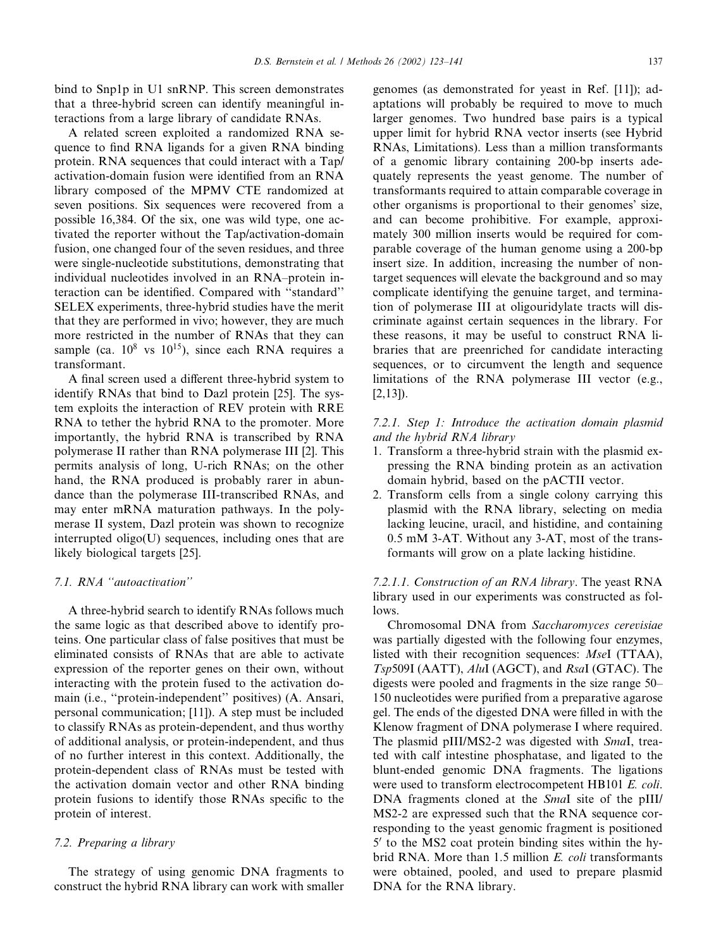bind to Snp1p in U1 snRNP. This screen demonstrates that a three-hybrid screen can identify meaningful interactions from a large library of candidate RNAs.

A related screen exploited a randomized RNA sequence to find RNA ligands for a given RNA binding protein. RNA sequences that could interact with a Tap/ activation-domain fusion were identified from an RNA library composed of the MPMV CTE randomized at seven positions. Six sequences were recovered from a possible 16,384. Of the six, one was wild type, one activated the reporter without the Tap/activation-domain fusion, one changed four of the seven residues, and three were single-nucleotide substitutions, demonstrating that individual nucleotides involved in an RNA–protein interaction can be identified. Compared with ''standard'' SELEX experiments, three-hybrid studies have the merit that they are performed in vivo; however, they are much more restricted in the number of RNAs that they can sample (ca.  $10^8$  vs  $10^{15}$ ), since each RNA requires a transformant.

A final screen used a different three-hybrid system to identify RNAs that bind to Dazl protein [25]. The system exploits the interaction of REV protein with RRE RNA to tether the hybrid RNA to the promoter. More importantly, the hybrid RNA is transcribed by RNA polymerase II rather than RNA polymerase III [2]. This permits analysis of long, U-rich RNAs; on the other hand, the RNA produced is probably rarer in abundance than the polymerase III-transcribed RNAs, and may enter mRNA maturation pathways. In the polymerase II system, Dazl protein was shown to recognize interrupted oligo(U) sequences, including ones that are likely biological targets [25].

## 7.1. RNA ''autoactivation''

A three-hybrid search to identify RNAs follows much the same logic as that described above to identify proteins. One particular class of false positives that must be eliminated consists of RNAs that are able to activate expression of the reporter genes on their own, without interacting with the protein fused to the activation domain (i.e., ''protein-independent'' positives) (A. Ansari, personal communication; [11]). A step must be included to classify RNAs as protein-dependent, and thus worthy of additional analysis, or protein-independent, and thus of no further interest in this context. Additionally, the protein-dependent class of RNAs must be tested with the activation domain vector and other RNA binding protein fusions to identify those RNAs specific to the protein of interest.

#### 7.2. Preparing a library

The strategy of using genomic DNA fragments to construct the hybrid RNA library can work with smaller

genomes (as demonstrated for yeast in Ref. [11]); adaptations will probably be required to move to much larger genomes. Two hundred base pairs is a typical upper limit for hybrid RNA vector inserts (see Hybrid RNAs, Limitations). Less than a million transformants of a genomic library containing 200-bp inserts adequately represents the yeast genome. The number of transformants required to attain comparable coverage in other organisms is proportional to their genomes' size, and can become prohibitive. For example, approximately 300 million inserts would be required for comparable coverage of the human genome using a 200-bp insert size. In addition, increasing the number of nontarget sequences will elevate the background and so may complicate identifying the genuine target, and termination of polymerase III at oligouridylate tracts will discriminate against certain sequences in the library. For these reasons, it may be useful to construct RNA libraries that are preenriched for candidate interacting sequences, or to circumvent the length and sequence limitations of the RNA polymerase III vector (e.g., [2,13]).

# 7.2.1. Step 1: Introduce the activation domain plasmid and the hybrid RNA library

- 1. Transform a three-hybrid strain with the plasmid expressing the RNA binding protein as an activation domain hybrid, based on the pACTII vector.
- 2. Transform cells from a single colony carrying this plasmid with the RNA library, selecting on media lacking leucine, uracil, and histidine, and containing 0.5 mM 3-AT. Without any 3-AT, most of the transformants will grow on a plate lacking histidine.

7.2.1.1. Construction of an RNA library. The yeast RNA library used in our experiments was constructed as follows.

Chromosomal DNA from Saccharomyces cerevisiae was partially digested with the following four enzymes, listed with their recognition sequences: MseI (TTAA), Tsp509I (AATT), AluI (AGCT), and RsaI (GTAC). The digests were pooled and fragments in the size range 50– 150 nucleotides were purified from a preparative agarose gel. The ends of the digested DNA were filled in with the Klenow fragment of DNA polymerase I where required. The plasmid pIII/MS2-2 was digested with SmaI, treated with calf intestine phosphatase, and ligated to the blunt-ended genomic DNA fragments. The ligations were used to transform electrocompetent HB101 E. coli. DNA fragments cloned at the *SmaI* site of the pIII/ MS2-2 are expressed such that the RNA sequence corresponding to the yeast genomic fragment is positioned  $5'$  to the MS2 coat protein binding sites within the hybrid RNA. More than 1.5 million E. coli transformants were obtained, pooled, and used to prepare plasmid DNA for the RNA library.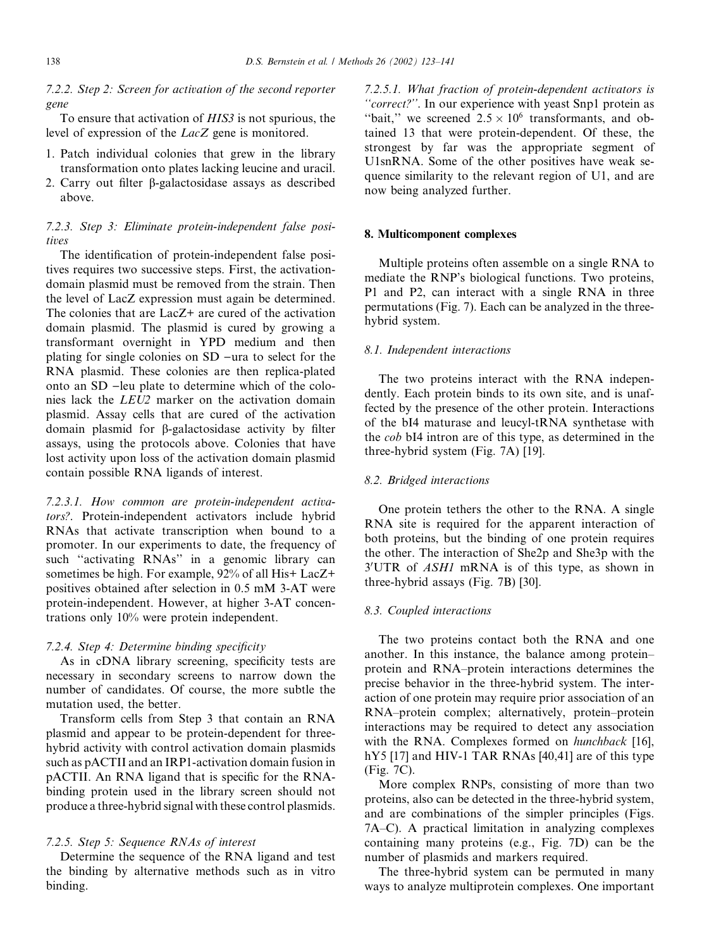# 7.2.2. Step 2: Screen for activation of the second reporter gene

To ensure that activation of HIS3 is not spurious, the level of expression of the LacZ gene is monitored.

- 1. Patch individual colonies that grew in the library transformation onto plates lacking leucine and uracil.
- 2. Carry out filter  $\beta$ -galactosidase assays as described above.

# 7.2.3. Step 3: Eliminate protein-independent false positives

The identification of protein-independent false positives requires two successive steps. First, the activationdomain plasmid must be removed from the strain. Then the level of LacZ expression must again be determined. The colonies that are LacZ+ are cured of the activation domain plasmid. The plasmid is cured by growing a transformant overnight in YPD medium and then plating for single colonies on  $SD$  -ura to select for the RNA plasmid. These colonies are then replica-plated onto an  $SD$  -leu plate to determine which of the colonies lack the LEU2 marker on the activation domain plasmid. Assay cells that are cured of the activation domain plasmid for b-galactosidase activity by filter assays, using the protocols above. Colonies that have lost activity upon loss of the activation domain plasmid contain possible RNA ligands of interest.

7.2.3.1. How common are protein-independent activators?. Protein-independent activators include hybrid RNAs that activate transcription when bound to a promoter. In our experiments to date, the frequency of such ''activating RNAs'' in a genomic library can sometimes be high. For example, 92% of all His+ LacZ+ positives obtained after selection in 0.5 mM 3-AT were protein-independent. However, at higher 3-AT concentrations only 10% were protein independent.

# 7.2.4. Step 4: Determine binding specificity

As in cDNA library screening, specificity tests are necessary in secondary screens to narrow down the number of candidates. Of course, the more subtle the mutation used, the better.

Transform cells from Step 3 that contain an RNA plasmid and appear to be protein-dependent for threehybrid activity with control activation domain plasmids such as pACTII and an IRP1-activation domain fusion in pACTII. An RNA ligand that is specific for the RNAbinding protein used in the library screen should not produce a three-hybrid signal with these control plasmids.

## 7.2.5. Step 5: Sequence RNAs of interest

Determine the sequence of the RNA ligand and test the binding by alternative methods such as in vitro binding.

7.2.5.1. What fraction of protein-dependent activators is "correct?". In our experience with yeast Snp1 protein as "bait," we screened  $2.5 \times 10^6$  transformants, and obtained 13 that were protein-dependent. Of these, the strongest by far was the appropriate segment of U1snRNA. Some of the other positives have weak sequence similarity to the relevant region of U1, and are now being analyzed further.

# 8. Multicomponent complexes

Multiple proteins often assemble on a single RNA to mediate the RNP's biological functions. Two proteins, P1 and P2, can interact with a single RNA in three permutations (Fig. 7). Each can be analyzed in the threehybrid system.

## 8.1. Independent interactions

The two proteins interact with the RNA independently. Each protein binds to its own site, and is unaffected by the presence of the other protein. Interactions of the bI4 maturase and leucyl-tRNA synthetase with the cob bI4 intron are of this type, as determined in the three-hybrid system (Fig. 7A) [19].

# 8.2. Bridged interactions

One protein tethers the other to the RNA. A single RNA site is required for the apparent interaction of both proteins, but the binding of one protein requires the other. The interaction of She2p and She3p with the 3'UTR of ASH1 mRNA is of this type, as shown in three-hybrid assays (Fig. 7B) [30].

# 8.3. Coupled interactions

The two proteins contact both the RNA and one another. In this instance, the balance among protein– protein and RNA–protein interactions determines the precise behavior in the three-hybrid system. The interaction of one protein may require prior association of an RNA–protein complex; alternatively, protein–protein interactions may be required to detect any association with the RNA. Complexes formed on *hunchback* [16], hY5 [17] and HIV-1 TAR RNAs [40,41] are of this type (Fig. 7C).

More complex RNPs, consisting of more than two proteins, also can be detected in the three-hybrid system, and are combinations of the simpler principles (Figs. 7A–C). A practical limitation in analyzing complexes containing many proteins (e.g., Fig. 7D) can be the number of plasmids and markers required.

The three-hybrid system can be permuted in many ways to analyze multiprotein complexes. One important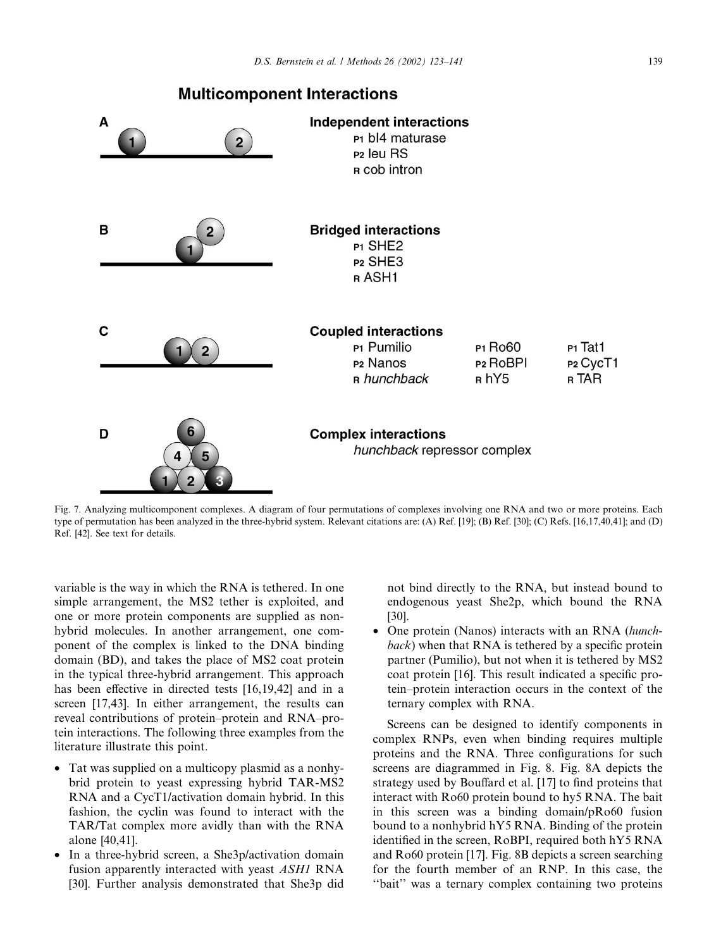

# **Multicomponent Interactions**

Fig. 7. Analyzing multicomponent complexes. A diagram of four permutations of complexes involving one RNA and two or more proteins. Each type of permutation has been analyzed in the three-hybrid system. Relevant citations are: (A) Ref. [19]; (B) Ref. [30]; (C) Refs. [16,17,40,41]; and (D) Ref. [42]. See text for details.

variable is the way in which the RNA is tethered. In one simple arrangement, the MS2 tether is exploited, and one or more protein components are supplied as nonhybrid molecules. In another arrangement, one component of the complex is linked to the DNA binding domain (BD), and takes the place of MS2 coat protein in the typical three-hybrid arrangement. This approach has been effective in directed tests [16,19,42] and in a screen [17,43]. In either arrangement, the results can reveal contributions of protein–protein and RNA–protein interactions. The following three examples from the literature illustrate this point.

- Tat was supplied on a multicopy plasmid as a nonhybrid protein to yeast expressing hybrid TAR-MS2 RNA and a CycT1/activation domain hybrid. In this fashion, the cyclin was found to interact with the TAR/Tat complex more avidly than with the RNA alone [40,41].
- In a three-hybrid screen, a She3p/activation domain fusion apparently interacted with yeast ASH1 RNA [30]. Further analysis demonstrated that She3p did

not bind directly to the RNA, but instead bound to endogenous yeast She2p, which bound the RNA [30].

• One protein (Nanos) interacts with an RNA (hunchback) when that RNA is tethered by a specific protein partner (Pumilio), but not when it is tethered by MS2 coat protein [16]. This result indicated a specific protein–protein interaction occurs in the context of the ternary complex with RNA.

Screens can be designed to identify components in complex RNPs, even when binding requires multiple proteins and the RNA. Three configurations for such screens are diagrammed in Fig. 8. Fig. 8A depicts the strategy used by Bouffard et al. [17] to find proteins that interact with Ro60 protein bound to hy5 RNA. The bait in this screen was a binding domain/pRo60 fusion bound to a nonhybrid hY5 RNA. Binding of the protein identified in the screen, RoBPI, required both hY5 RNA and Ro60 protein [17]. Fig. 8B depicts a screen searching for the fourth member of an RNP. In this case, the "bait" was a ternary complex containing two proteins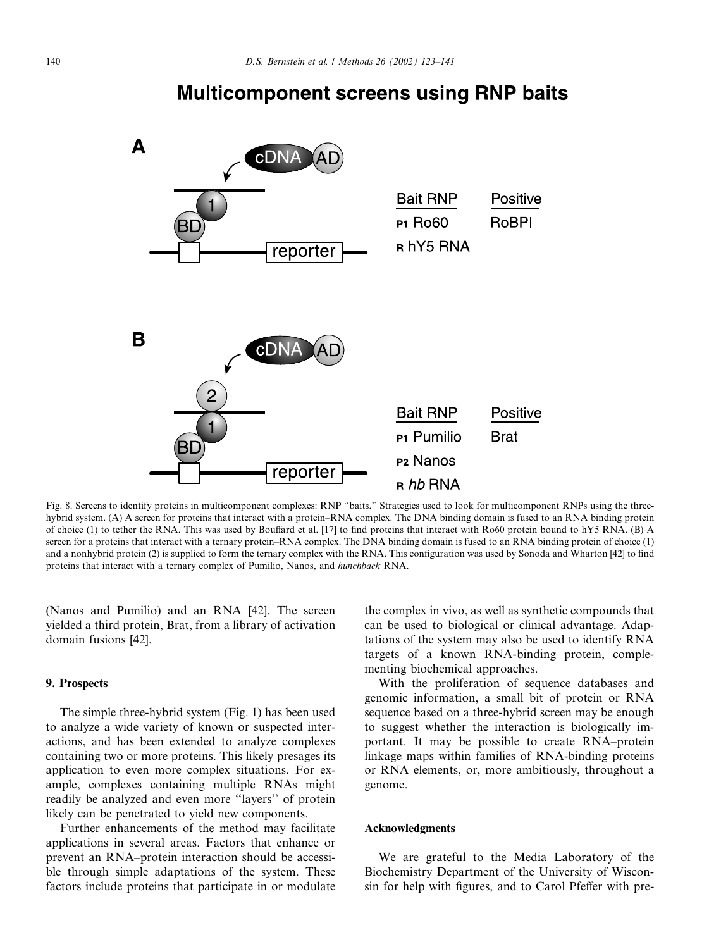# **Multicomponent screens using RNP baits**

![](_page_17_Figure_3.jpeg)

Fig. 8. Screens to identify proteins in multicomponent complexes: RNP ''baits.'' Strategies used to look for multicomponent RNPs using the threehybrid system. (A) A screen for proteins that interact with a protein–RNA complex. The DNA binding domain is fused to an RNA binding protein of choice (1) to tether the RNA. This was used by Bouffard et al. [17] to find proteins that interact with Ro60 protein bound to hY5 RNA. (B) A screen for a proteins that interact with a ternary protein–RNA complex. The DNA binding domain is fused to an RNA binding protein of choice (1) and a nonhybrid protein (2) is supplied to form the ternary complex with the RNA. This configuration was used by Sonoda and Wharton [42] to find proteins that interact with a ternary complex of Pumilio, Nanos, and hunchback RNA.

(Nanos and Pumilio) and an RNA [42]. The screen yielded a third protein, Brat, from a library of activation domain fusions [42].

# 9. Prospects

The simple three-hybrid system (Fig. 1) has been used to analyze a wide variety of known or suspected interactions, and has been extended to analyze complexes containing two or more proteins. This likely presages its application to even more complex situations. For example, complexes containing multiple RNAs might readily be analyzed and even more ''layers'' of protein likely can be penetrated to yield new components.

Further enhancements of the method may facilitate applications in several areas. Factors that enhance or prevent an RNA–protein interaction should be accessible through simple adaptations of the system. These factors include proteins that participate in or modulate

the complex in vivo, as well as synthetic compounds that can be used to biological or clinical advantage. Adaptations of the system may also be used to identify RNA targets of a known RNA-binding protein, complementing biochemical approaches.

With the proliferation of sequence databases and genomic information, a small bit of protein or RNA sequence based on a three-hybrid screen may be enough to suggest whether the interaction is biologically important. It may be possible to create RNA–protein linkage maps within families of RNA-binding proteins or RNA elements, or, more ambitiously, throughout a genome.

# Acknowledgments

We are grateful to the Media Laboratory of the Biochemistry Department of the University of Wisconsin for help with figures, and to Carol Pfeffer with pre